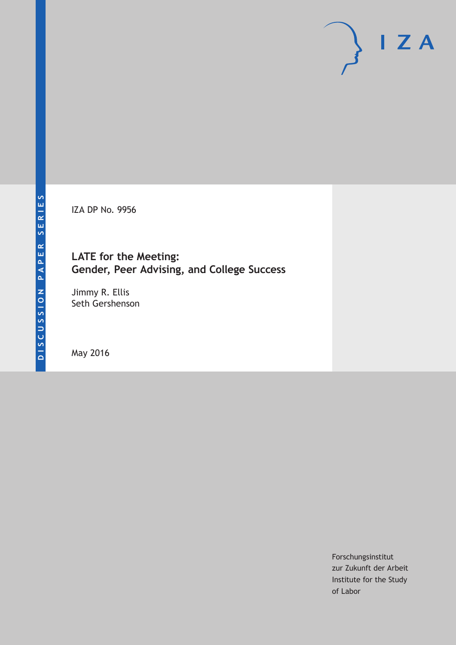IZA DP No. 9956

# **LATE for the Meeting: Gender, Peer Advising, and College Success**

Jimmy R. Ellis Seth Gershenson

May 2016

Forschungsinstitut zur Zukunft der Arbeit Institute for the Study of Labor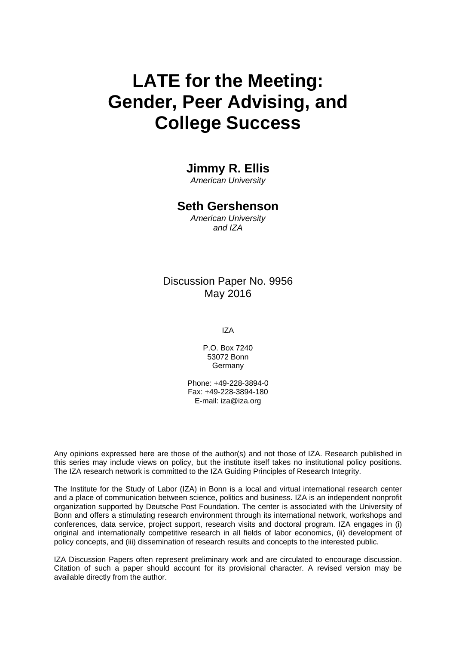# **LATE for the Meeting: Gender, Peer Advising, and College Success**

# **Jimmy R. Ellis**

*American University* 

# **Seth Gershenson**

*American University and IZA* 

# Discussion Paper No. 9956 May 2016

IZA

P.O. Box 7240 53072 Bonn **Germany** 

Phone: +49-228-3894-0 Fax: +49-228-3894-180 E-mail: iza@iza.org

Any opinions expressed here are those of the author(s) and not those of IZA. Research published in this series may include views on policy, but the institute itself takes no institutional policy positions. The IZA research network is committed to the IZA Guiding Principles of Research Integrity.

The Institute for the Study of Labor (IZA) in Bonn is a local and virtual international research center and a place of communication between science, politics and business. IZA is an independent nonprofit organization supported by Deutsche Post Foundation. The center is associated with the University of Bonn and offers a stimulating research environment through its international network, workshops and conferences, data service, project support, research visits and doctoral program. IZA engages in (i) original and internationally competitive research in all fields of labor economics, (ii) development of policy concepts, and (iii) dissemination of research results and concepts to the interested public.

IZA Discussion Papers often represent preliminary work and are circulated to encourage discussion. Citation of such a paper should account for its provisional character. A revised version may be available directly from the author.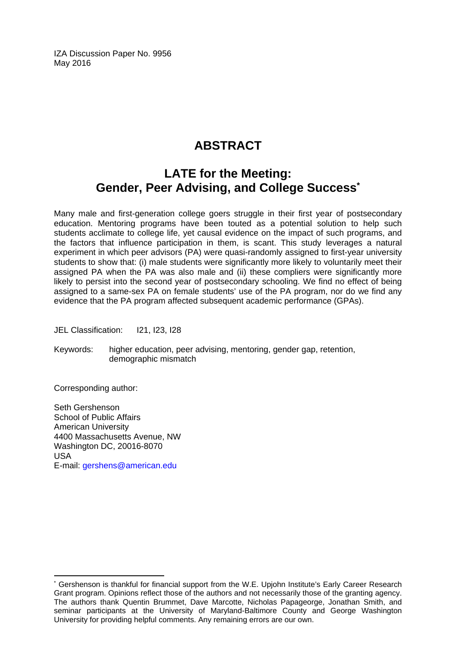IZA Discussion Paper No. 9956 May 2016

# **ABSTRACT**

# **LATE for the Meeting: Gender, Peer Advising, and College Success\***

Many male and first-generation college goers struggle in their first year of postsecondary education. Mentoring programs have been touted as a potential solution to help such students acclimate to college life, yet causal evidence on the impact of such programs, and the factors that influence participation in them, is scant. This study leverages a natural experiment in which peer advisors (PA) were quasi-randomly assigned to first-year university students to show that: (i) male students were significantly more likely to voluntarily meet their assigned PA when the PA was also male and (ii) these compliers were significantly more likely to persist into the second year of postsecondary schooling. We find no effect of being assigned to a same-sex PA on female students' use of the PA program, nor do we find any evidence that the PA program affected subsequent academic performance (GPAs).

JEL Classification: I21, I23, I28

Keywords: higher education, peer advising, mentoring, gender gap, retention, demographic mismatch

Corresponding author:

 $\overline{\phantom{a}}$ 

Seth Gershenson School of Public Affairs American University 4400 Massachusetts Avenue, NW Washington DC, 20016-8070 USA E-mail: gershens@american.edu

<sup>\*</sup> Gershenson is thankful for financial support from the W.E. Upjohn Institute's Early Career Research Grant program. Opinions reflect those of the authors and not necessarily those of the granting agency. The authors thank Quentin Brummet, Dave Marcotte, Nicholas Papageorge, Jonathan Smith, and seminar participants at the University of Maryland-Baltimore County and George Washington University for providing helpful comments. Any remaining errors are our own.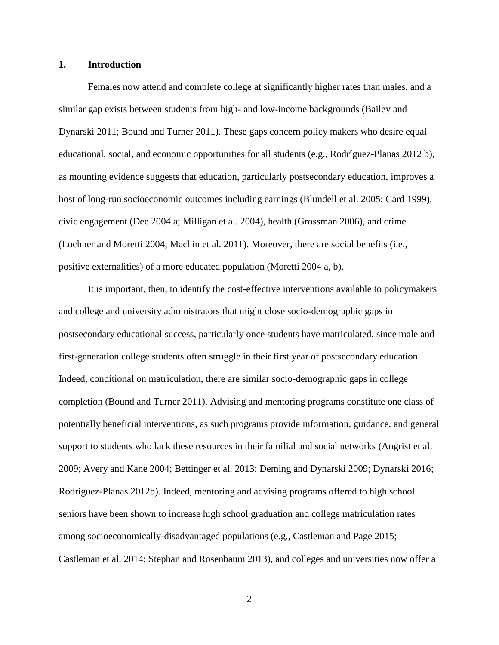#### **1. Introduction**

Females now attend and complete college at significantly higher rates than males, and a similar gap exists between students from high- and low-income backgrounds (Bailey and Dynarski 2011; Bound and Turner 2011). These gaps concern policy makers who desire equal educational, social, and economic opportunities for all students (e.g., Rodríguez-Planas 2012 b), as mounting evidence suggests that education, particularly postsecondary education, improves a host of long-run socioeconomic outcomes including earnings (Blundell et al. 2005; Card 1999), civic engagement (Dee 2004 a; Milligan et al. 2004), health (Grossman 2006), and crime (Lochner and Moretti 2004; Machin et al. 2011). Moreover, there are social benefits (i.e., positive externalities) of a more educated population (Moretti 2004 a, b).

It is important, then, to identify the cost-effective interventions available to policymakers and college and university administrators that might close socio-demographic gaps in postsecondary educational success, particularly once students have matriculated, since male and first-generation college students often struggle in their first year of postsecondary education. Indeed, conditional on matriculation, there are similar socio-demographic gaps in college completion (Bound and Turner 2011). Advising and mentoring programs constitute one class of potentially beneficial interventions, as such programs provide information, guidance, and general support to students who lack these resources in their familial and social networks (Angrist et al. 2009; Avery and Kane 2004; Bettinger et al. 2013; Deming and Dynarski 2009; Dynarski 2016; Rodríguez-Planas 2012b). Indeed, mentoring and advising programs offered to high school seniors have been shown to increase high school graduation and college matriculation rates among socioeconomically-disadvantaged populations (e.g., Castleman and Page 2015; Castleman et al. 2014; Stephan and Rosenbaum 2013), and colleges and universities now offer a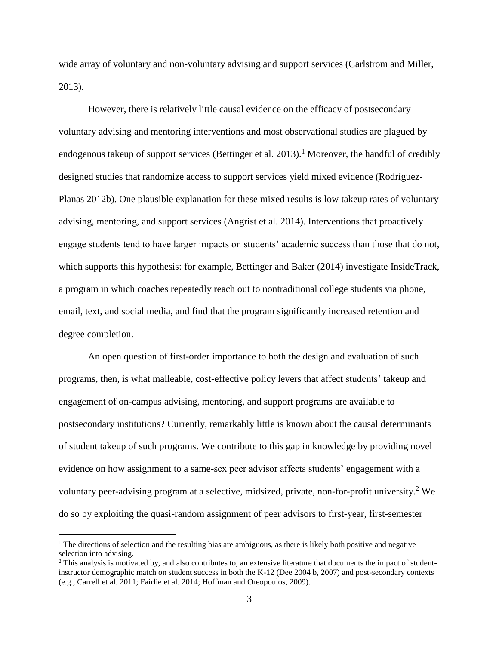wide array of voluntary and non-voluntary advising and support services (Carlstrom and Miller, 2013).

However, there is relatively little causal evidence on the efficacy of postsecondary voluntary advising and mentoring interventions and most observational studies are plagued by endogenous takeup of support services (Bettinger et al. 2013).<sup>1</sup> Moreover, the handful of credibly designed studies that randomize access to support services yield mixed evidence (Rodríguez-Planas 2012b). One plausible explanation for these mixed results is low takeup rates of voluntary advising, mentoring, and support services (Angrist et al. 2014). Interventions that proactively engage students tend to have larger impacts on students' academic success than those that do not, which supports this hypothesis: for example, Bettinger and Baker (2014) investigate InsideTrack, a program in which coaches repeatedly reach out to nontraditional college students via phone, email, text, and social media, and find that the program significantly increased retention and degree completion.

An open question of first-order importance to both the design and evaluation of such programs, then, is what malleable, cost-effective policy levers that affect students' takeup and engagement of on-campus advising, mentoring, and support programs are available to postsecondary institutions? Currently, remarkably little is known about the causal determinants of student takeup of such programs. We contribute to this gap in knowledge by providing novel evidence on how assignment to a same-sex peer advisor affects students' engagement with a voluntary peer-advising program at a selective, midsized, private, non-for-profit university. <sup>2</sup> We do so by exploiting the quasi-random assignment of peer advisors to first-year, first-semester

<sup>&</sup>lt;sup>1</sup> The directions of selection and the resulting bias are ambiguous, as there is likely both positive and negative selection into advising.

 $2$  This analysis is motivated by, and also contributes to, an extensive literature that documents the impact of studentinstructor demographic match on student success in both the K-12 (Dee 2004 b, 2007) and post-secondary contexts (e.g., Carrell et al. 2011; Fairlie et al. 2014; Hoffman and Oreopoulos, 2009).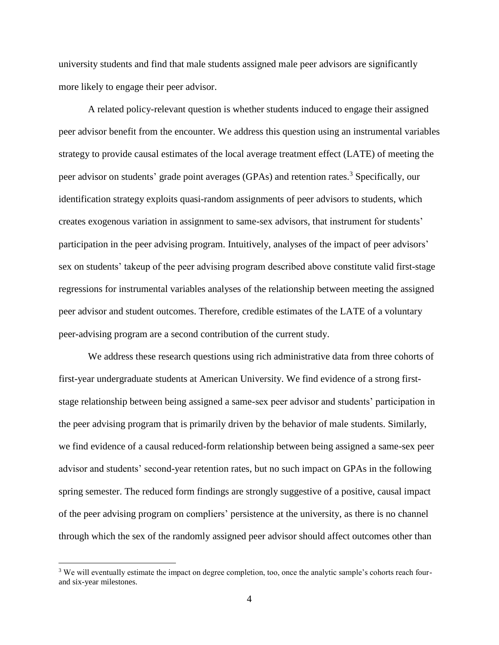university students and find that male students assigned male peer advisors are significantly more likely to engage their peer advisor.

A related policy-relevant question is whether students induced to engage their assigned peer advisor benefit from the encounter. We address this question using an instrumental variables strategy to provide causal estimates of the local average treatment effect (LATE) of meeting the peer advisor on students' grade point averages (GPAs) and retention rates. <sup>3</sup> Specifically, our identification strategy exploits quasi-random assignments of peer advisors to students, which creates exogenous variation in assignment to same-sex advisors, that instrument for students' participation in the peer advising program. Intuitively, analyses of the impact of peer advisors' sex on students' takeup of the peer advising program described above constitute valid first-stage regressions for instrumental variables analyses of the relationship between meeting the assigned peer advisor and student outcomes. Therefore, credible estimates of the LATE of a voluntary peer-advising program are a second contribution of the current study.

We address these research questions using rich administrative data from three cohorts of first-year undergraduate students at American University. We find evidence of a strong firststage relationship between being assigned a same-sex peer advisor and students' participation in the peer advising program that is primarily driven by the behavior of male students. Similarly, we find evidence of a causal reduced-form relationship between being assigned a same-sex peer advisor and students' second-year retention rates, but no such impact on GPAs in the following spring semester. The reduced form findings are strongly suggestive of a positive, causal impact of the peer advising program on compliers' persistence at the university, as there is no channel through which the sex of the randomly assigned peer advisor should affect outcomes other than

<sup>&</sup>lt;sup>3</sup> We will eventually estimate the impact on degree completion, too, once the analytic sample's cohorts reach fourand six-year milestones.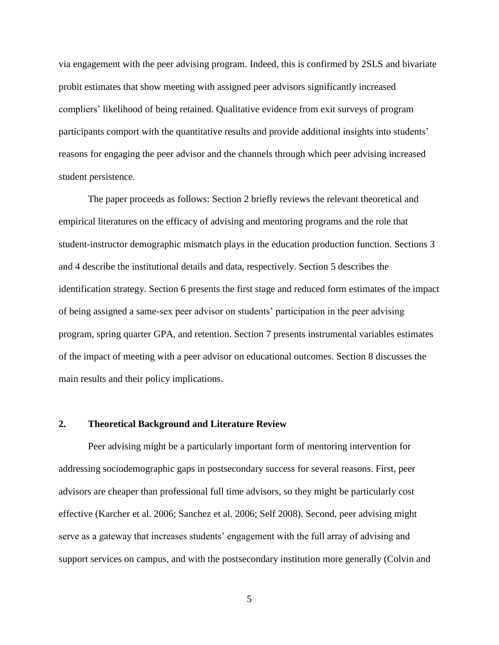via engagement with the peer advising program. Indeed, this is confirmed by 2SLS and bivariate probit estimates that show meeting with assigned peer advisors significantly increased compliers' likelihood of being retained. Qualitative evidence from exit surveys of program participants comport with the quantitative results and provide additional insights into students' reasons for engaging the peer advisor and the channels through which peer advising increased student persistence.

The paper proceeds as follows: Section 2 briefly reviews the relevant theoretical and empirical literatures on the efficacy of advising and mentoring programs and the role that student-instructor demographic mismatch plays in the education production function. Sections 3 and 4 describe the institutional details and data, respectively. Section 5 describes the identification strategy. Section 6 presents the first stage and reduced form estimates of the impact of being assigned a same-sex peer advisor on students' participation in the peer advising program, spring quarter GPA, and retention. Section 7 presents instrumental variables estimates of the impact of meeting with a peer advisor on educational outcomes. Section 8 discusses the main results and their policy implications.

#### **2. Theoretical Background and Literature Review**

Peer advising might be a particularly important form of mentoring intervention for addressing sociodemographic gaps in postsecondary success for several reasons. First, peer advisors are cheaper than professional full time advisors, so they might be particularly cost effective (Karcher et al. 2006; Sanchez et al. 2006; Self 2008). Second, peer advising might serve as a gateway that increases students' engagement with the full array of advising and support services on campus, and with the postsecondary institution more generally (Colvin and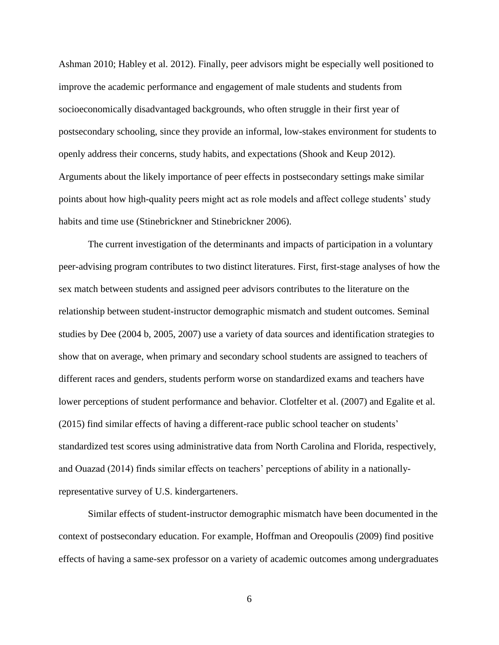Ashman 2010; Habley et al. 2012). Finally, peer advisors might be especially well positioned to improve the academic performance and engagement of male students and students from socioeconomically disadvantaged backgrounds, who often struggle in their first year of postsecondary schooling, since they provide an informal, low-stakes environment for students to openly address their concerns, study habits, and expectations (Shook and Keup 2012). Arguments about the likely importance of peer effects in postsecondary settings make similar points about how high-quality peers might act as role models and affect college students' study habits and time use (Stinebrickner and Stinebrickner 2006).

The current investigation of the determinants and impacts of participation in a voluntary peer-advising program contributes to two distinct literatures. First, first-stage analyses of how the sex match between students and assigned peer advisors contributes to the literature on the relationship between student-instructor demographic mismatch and student outcomes. Seminal studies by Dee (2004 b, 2005, 2007) use a variety of data sources and identification strategies to show that on average, when primary and secondary school students are assigned to teachers of different races and genders, students perform worse on standardized exams and teachers have lower perceptions of student performance and behavior. Clotfelter et al. (2007) and Egalite et al. (2015) find similar effects of having a different-race public school teacher on students' standardized test scores using administrative data from North Carolina and Florida, respectively, and Ouazad (2014) finds similar effects on teachers' perceptions of ability in a nationallyrepresentative survey of U.S. kindergarteners.

Similar effects of student-instructor demographic mismatch have been documented in the context of postsecondary education. For example, Hoffman and Oreopoulis (2009) find positive effects of having a same-sex professor on a variety of academic outcomes among undergraduates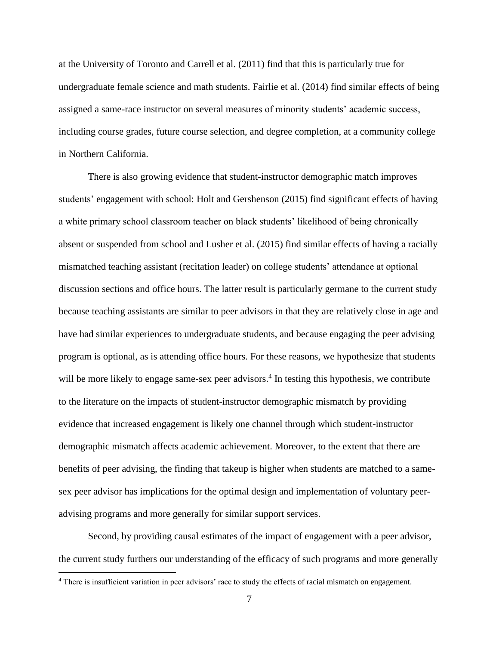at the University of Toronto and Carrell et al. (2011) find that this is particularly true for undergraduate female science and math students. Fairlie et al. (2014) find similar effects of being assigned a same-race instructor on several measures of minority students' academic success, including course grades, future course selection, and degree completion, at a community college in Northern California.

There is also growing evidence that student-instructor demographic match improves students' engagement with school: Holt and Gershenson (2015) find significant effects of having a white primary school classroom teacher on black students' likelihood of being chronically absent or suspended from school and Lusher et al. (2015) find similar effects of having a racially mismatched teaching assistant (recitation leader) on college students' attendance at optional discussion sections and office hours. The latter result is particularly germane to the current study because teaching assistants are similar to peer advisors in that they are relatively close in age and have had similar experiences to undergraduate students, and because engaging the peer advising program is optional, as is attending office hours. For these reasons, we hypothesize that students will be more likely to engage same-sex peer advisors.<sup>4</sup> In testing this hypothesis, we contribute to the literature on the impacts of student-instructor demographic mismatch by providing evidence that increased engagement is likely one channel through which student-instructor demographic mismatch affects academic achievement. Moreover, to the extent that there are benefits of peer advising, the finding that takeup is higher when students are matched to a samesex peer advisor has implications for the optimal design and implementation of voluntary peeradvising programs and more generally for similar support services.

Second, by providing causal estimates of the impact of engagement with a peer advisor, the current study furthers our understanding of the efficacy of such programs and more generally

<sup>&</sup>lt;sup>4</sup> There is insufficient variation in peer advisors' race to study the effects of racial mismatch on engagement.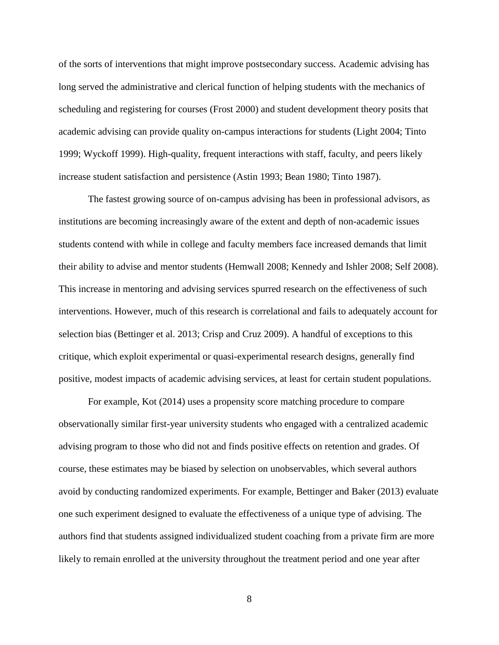of the sorts of interventions that might improve postsecondary success. Academic advising has long served the administrative and clerical function of helping students with the mechanics of scheduling and registering for courses (Frost 2000) and student development theory posits that academic advising can provide quality on-campus interactions for students (Light 2004; Tinto 1999; Wyckoff 1999). High-quality, frequent interactions with staff, faculty, and peers likely increase student satisfaction and persistence (Astin 1993; Bean 1980; Tinto 1987).

The fastest growing source of on-campus advising has been in professional advisors, as institutions are becoming increasingly aware of the extent and depth of non-academic issues students contend with while in college and faculty members face increased demands that limit their ability to advise and mentor students (Hemwall 2008; Kennedy and Ishler 2008; Self 2008). This increase in mentoring and advising services spurred research on the effectiveness of such interventions. However, much of this research is correlational and fails to adequately account for selection bias (Bettinger et al. 2013; Crisp and Cruz 2009). A handful of exceptions to this critique, which exploit experimental or quasi-experimental research designs, generally find positive, modest impacts of academic advising services, at least for certain student populations.

For example, Kot (2014) uses a propensity score matching procedure to compare observationally similar first-year university students who engaged with a centralized academic advising program to those who did not and finds positive effects on retention and grades. Of course, these estimates may be biased by selection on unobservables, which several authors avoid by conducting randomized experiments. For example, Bettinger and Baker (2013) evaluate one such experiment designed to evaluate the effectiveness of a unique type of advising. The authors find that students assigned individualized student coaching from a private firm are more likely to remain enrolled at the university throughout the treatment period and one year after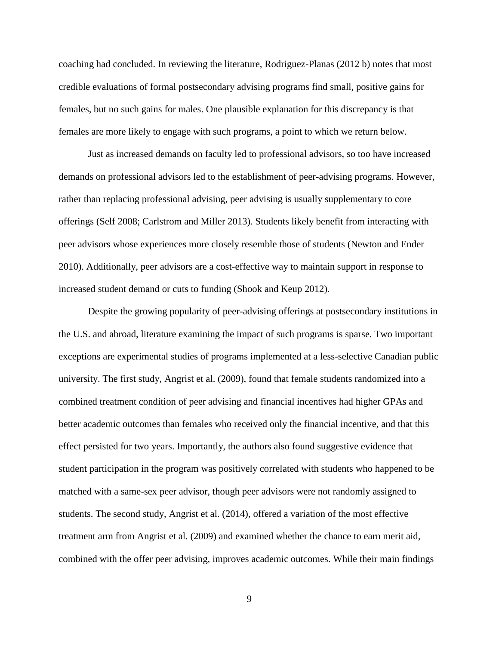coaching had concluded. In reviewing the literature, Rodriguez-Planas (2012 b) notes that most credible evaluations of formal postsecondary advising programs find small, positive gains for females, but no such gains for males. One plausible explanation for this discrepancy is that females are more likely to engage with such programs, a point to which we return below.

Just as increased demands on faculty led to professional advisors, so too have increased demands on professional advisors led to the establishment of peer-advising programs. However, rather than replacing professional advising, peer advising is usually supplementary to core offerings (Self 2008; Carlstrom and Miller 2013). Students likely benefit from interacting with peer advisors whose experiences more closely resemble those of students (Newton and Ender 2010). Additionally, peer advisors are a cost-effective way to maintain support in response to increased student demand or cuts to funding (Shook and Keup 2012).

Despite the growing popularity of peer-advising offerings at postsecondary institutions in the U.S. and abroad, literature examining the impact of such programs is sparse. Two important exceptions are experimental studies of programs implemented at a less-selective Canadian public university. The first study, Angrist et al. (2009), found that female students randomized into a combined treatment condition of peer advising and financial incentives had higher GPAs and better academic outcomes than females who received only the financial incentive, and that this effect persisted for two years. Importantly, the authors also found suggestive evidence that student participation in the program was positively correlated with students who happened to be matched with a same-sex peer advisor, though peer advisors were not randomly assigned to students. The second study, Angrist et al. (2014), offered a variation of the most effective treatment arm from Angrist et al. (2009) and examined whether the chance to earn merit aid, combined with the offer peer advising, improves academic outcomes. While their main findings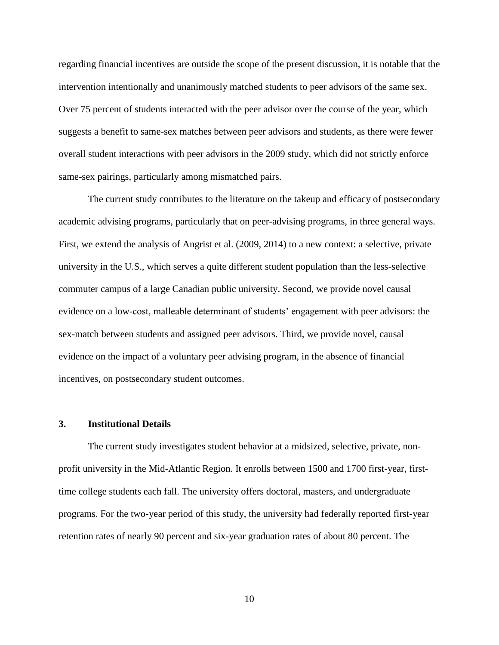regarding financial incentives are outside the scope of the present discussion, it is notable that the intervention intentionally and unanimously matched students to peer advisors of the same sex. Over 75 percent of students interacted with the peer advisor over the course of the year, which suggests a benefit to same-sex matches between peer advisors and students, as there were fewer overall student interactions with peer advisors in the 2009 study, which did not strictly enforce same-sex pairings, particularly among mismatched pairs.

The current study contributes to the literature on the takeup and efficacy of postsecondary academic advising programs, particularly that on peer-advising programs, in three general ways. First, we extend the analysis of Angrist et al. (2009, 2014) to a new context: a selective, private university in the U.S., which serves a quite different student population than the less-selective commuter campus of a large Canadian public university. Second, we provide novel causal evidence on a low-cost, malleable determinant of students' engagement with peer advisors: the sex-match between students and assigned peer advisors. Third, we provide novel, causal evidence on the impact of a voluntary peer advising program, in the absence of financial incentives, on postsecondary student outcomes.

#### **3. Institutional Details**

The current study investigates student behavior at a midsized, selective, private, nonprofit university in the Mid-Atlantic Region. It enrolls between 1500 and 1700 first-year, firsttime college students each fall. The university offers doctoral, masters, and undergraduate programs. For the two-year period of this study, the university had federally reported first-year retention rates of nearly 90 percent and six-year graduation rates of about 80 percent. The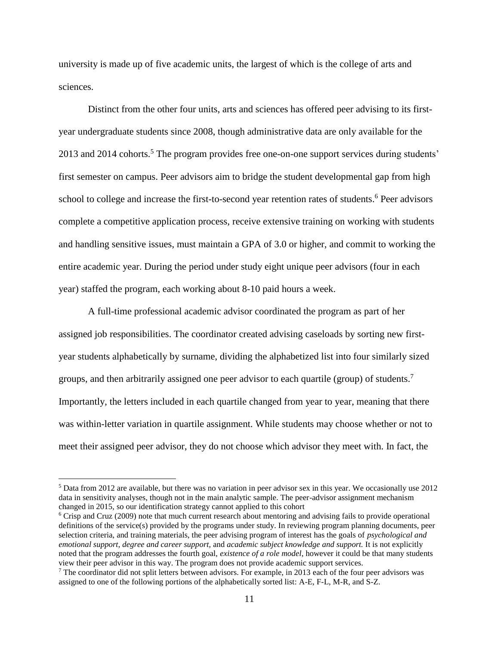university is made up of five academic units, the largest of which is the college of arts and sciences.

Distinct from the other four units, arts and sciences has offered peer advising to its firstyear undergraduate students since 2008, though administrative data are only available for the 2013 and 2014 cohorts.<sup>5</sup> The program provides free one-on-one support services during students' first semester on campus. Peer advisors aim to bridge the student developmental gap from high school to college and increase the first-to-second year retention rates of students.<sup>6</sup> Peer advisors complete a competitive application process, receive extensive training on working with students and handling sensitive issues, must maintain a GPA of 3.0 or higher, and commit to working the entire academic year. During the period under study eight unique peer advisors (four in each year) staffed the program, each working about 8-10 paid hours a week.

A full-time professional academic advisor coordinated the program as part of her assigned job responsibilities. The coordinator created advising caseloads by sorting new firstyear students alphabetically by surname, dividing the alphabetized list into four similarly sized groups, and then arbitrarily assigned one peer advisor to each quartile (group) of students.<sup>7</sup> Importantly, the letters included in each quartile changed from year to year, meaning that there was within-letter variation in quartile assignment. While students may choose whether or not to meet their assigned peer advisor, they do not choose which advisor they meet with. In fact, the

 $5$  Data from 2012 are available, but there was no variation in peer advisor sex in this year. We occasionally use 2012 data in sensitivity analyses, though not in the main analytic sample. The peer-advisor assignment mechanism changed in 2015, so our identification strategy cannot applied to this cohort

<sup>6</sup> Crisp and Cruz (2009) note that much current research about mentoring and advising fails to provide operational definitions of the service(s) provided by the programs under study. In reviewing program planning documents, peer selection criteria, and training materials, the peer advising program of interest has the goals of *psychological and emotional support*, *degree and career support,* and *academic subject knowledge and support.* It is not explicitly noted that the program addresses the fourth goal, *existence of a role model*, however it could be that many students view their peer advisor in this way. The program does not provide academic support services.

 $<sup>7</sup>$  The coordinator did not split letters between advisors. For example, in 2013 each of the four peer advisors was</sup> assigned to one of the following portions of the alphabetically sorted list: A-E, F-L, M-R, and S-Z.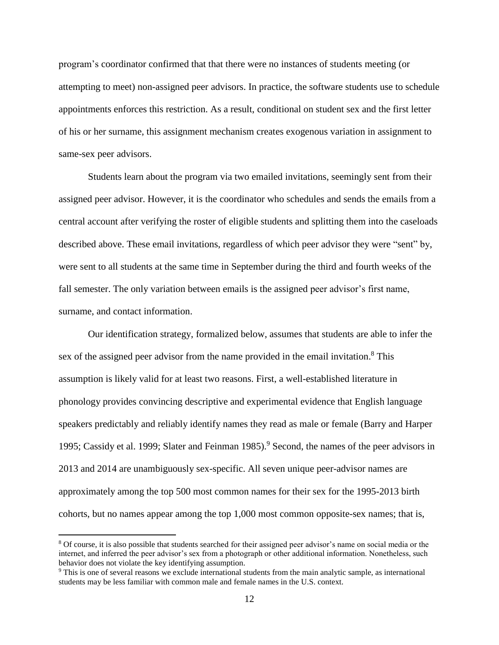program's coordinator confirmed that that there were no instances of students meeting (or attempting to meet) non-assigned peer advisors. In practice, the software students use to schedule appointments enforces this restriction. As a result, conditional on student sex and the first letter of his or her surname, this assignment mechanism creates exogenous variation in assignment to same-sex peer advisors.

Students learn about the program via two emailed invitations, seemingly sent from their assigned peer advisor. However, it is the coordinator who schedules and sends the emails from a central account after verifying the roster of eligible students and splitting them into the caseloads described above. These email invitations, regardless of which peer advisor they were "sent" by, were sent to all students at the same time in September during the third and fourth weeks of the fall semester. The only variation between emails is the assigned peer advisor's first name, surname, and contact information.

Our identification strategy, formalized below, assumes that students are able to infer the sex of the assigned peer advisor from the name provided in the email invitation.<sup>8</sup> This assumption is likely valid for at least two reasons. First, a well-established literature in phonology provides convincing descriptive and experimental evidence that English language speakers predictably and reliably identify names they read as male or female (Barry and Harper 1995; Cassidy et al. 1999; Slater and Feinman 1985). <sup>9</sup> Second, the names of the peer advisors in 2013 and 2014 are unambiguously sex-specific. All seven unique peer-advisor names are approximately among the top 500 most common names for their sex for the 1995-2013 birth cohorts, but no names appear among the top 1,000 most common opposite-sex names; that is,

<sup>8</sup> Of course, it is also possible that students searched for their assigned peer advisor's name on social media or the internet, and inferred the peer advisor's sex from a photograph or other additional information. Nonetheless, such behavior does not violate the key identifying assumption.

<sup>9</sup> This is one of several reasons we exclude international students from the main analytic sample, as international students may be less familiar with common male and female names in the U.S. context.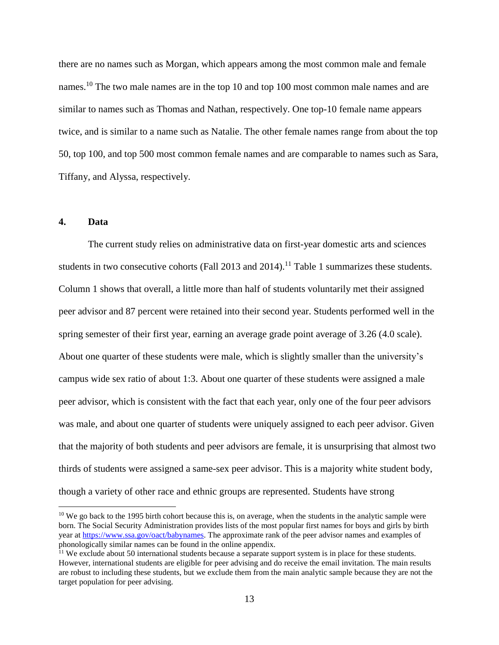there are no names such as Morgan, which appears among the most common male and female names.<sup>10</sup> The two male names are in the top 10 and top 100 most common male names and are similar to names such as Thomas and Nathan, respectively. One top-10 female name appears twice, and is similar to a name such as Natalie. The other female names range from about the top 50, top 100, and top 500 most common female names and are comparable to names such as Sara, Tiffany, and Alyssa, respectively.

### **4. Data**

 $\overline{a}$ 

The current study relies on administrative data on first-year domestic arts and sciences students in two consecutive cohorts (Fall 2013 and 2014).<sup>11</sup> Table 1 summarizes these students. Column 1 shows that overall, a little more than half of students voluntarily met their assigned peer advisor and 87 percent were retained into their second year. Students performed well in the spring semester of their first year, earning an average grade point average of 3.26 (4.0 scale). About one quarter of these students were male, which is slightly smaller than the university's campus wide sex ratio of about 1:3. About one quarter of these students were assigned a male peer advisor, which is consistent with the fact that each year, only one of the four peer advisors was male, and about one quarter of students were uniquely assigned to each peer advisor. Given that the majority of both students and peer advisors are female, it is unsurprising that almost two thirds of students were assigned a same-sex peer advisor. This is a majority white student body, though a variety of other race and ethnic groups are represented. Students have strong

<sup>&</sup>lt;sup>10</sup> We go back to the 1995 birth cohort because this is, on average, when the students in the analytic sample were born. The Social Security Administration provides lists of the most popular first names for boys and girls by birth year at [https://www.ssa.gov/oact/babynames.](https://www.ssa.gov/oact/babynames) The approximate rank of the peer advisor names and examples of phonologically similar names can be found in the online appendix.

<sup>&</sup>lt;sup>11</sup> We exclude about 50 international students because a separate support system is in place for these students. However, international students are eligible for peer advising and do receive the email invitation. The main results are robust to including these students, but we exclude them from the main analytic sample because they are not the target population for peer advising.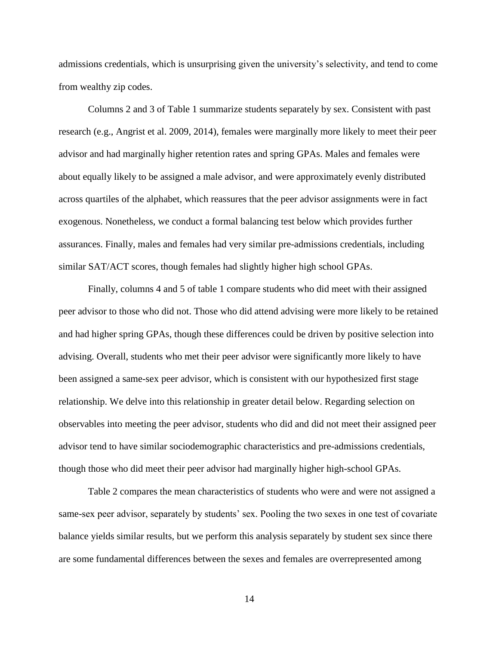admissions credentials, which is unsurprising given the university's selectivity, and tend to come from wealthy zip codes.

Columns 2 and 3 of Table 1 summarize students separately by sex. Consistent with past research (e.g., Angrist et al. 2009, 2014), females were marginally more likely to meet their peer advisor and had marginally higher retention rates and spring GPAs. Males and females were about equally likely to be assigned a male advisor, and were approximately evenly distributed across quartiles of the alphabet, which reassures that the peer advisor assignments were in fact exogenous. Nonetheless, we conduct a formal balancing test below which provides further assurances. Finally, males and females had very similar pre-admissions credentials, including similar SAT/ACT scores, though females had slightly higher high school GPAs.

Finally, columns 4 and 5 of table 1 compare students who did meet with their assigned peer advisor to those who did not. Those who did attend advising were more likely to be retained and had higher spring GPAs, though these differences could be driven by positive selection into advising. Overall, students who met their peer advisor were significantly more likely to have been assigned a same-sex peer advisor, which is consistent with our hypothesized first stage relationship. We delve into this relationship in greater detail below. Regarding selection on observables into meeting the peer advisor, students who did and did not meet their assigned peer advisor tend to have similar sociodemographic characteristics and pre-admissions credentials, though those who did meet their peer advisor had marginally higher high-school GPAs.

Table 2 compares the mean characteristics of students who were and were not assigned a same-sex peer advisor, separately by students' sex. Pooling the two sexes in one test of covariate balance yields similar results, but we perform this analysis separately by student sex since there are some fundamental differences between the sexes and females are overrepresented among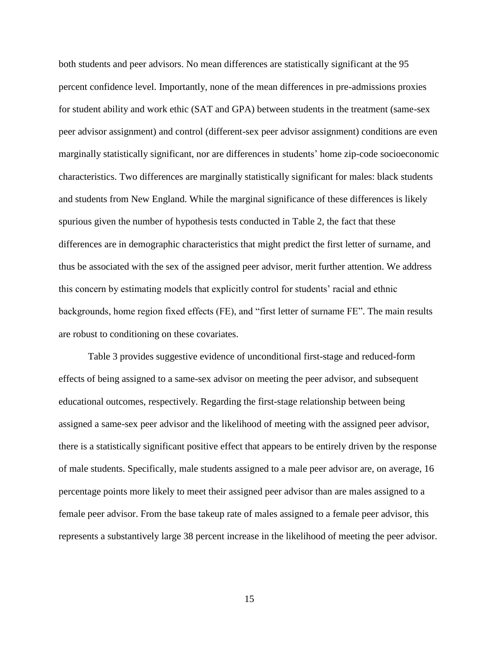both students and peer advisors. No mean differences are statistically significant at the 95 percent confidence level. Importantly, none of the mean differences in pre-admissions proxies for student ability and work ethic (SAT and GPA) between students in the treatment (same-sex peer advisor assignment) and control (different-sex peer advisor assignment) conditions are even marginally statistically significant, nor are differences in students' home zip-code socioeconomic characteristics. Two differences are marginally statistically significant for males: black students and students from New England. While the marginal significance of these differences is likely spurious given the number of hypothesis tests conducted in Table 2, the fact that these differences are in demographic characteristics that might predict the first letter of surname, and thus be associated with the sex of the assigned peer advisor, merit further attention. We address this concern by estimating models that explicitly control for students' racial and ethnic backgrounds, home region fixed effects (FE), and "first letter of surname FE". The main results are robust to conditioning on these covariates.

Table 3 provides suggestive evidence of unconditional first-stage and reduced-form effects of being assigned to a same-sex advisor on meeting the peer advisor, and subsequent educational outcomes, respectively. Regarding the first-stage relationship between being assigned a same-sex peer advisor and the likelihood of meeting with the assigned peer advisor, there is a statistically significant positive effect that appears to be entirely driven by the response of male students. Specifically, male students assigned to a male peer advisor are, on average, 16 percentage points more likely to meet their assigned peer advisor than are males assigned to a female peer advisor. From the base takeup rate of males assigned to a female peer advisor, this represents a substantively large 38 percent increase in the likelihood of meeting the peer advisor.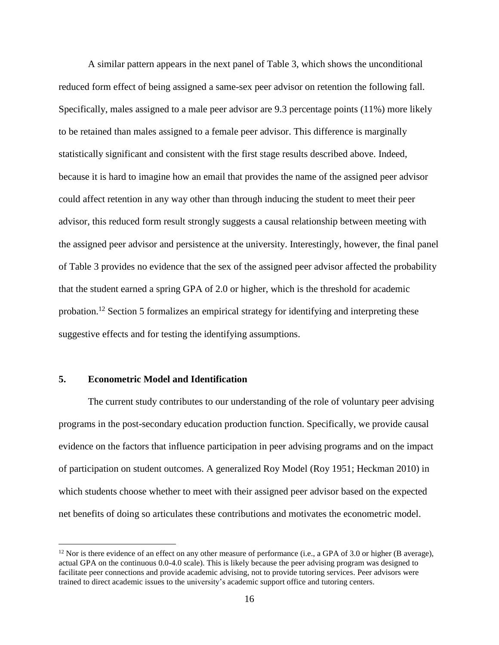A similar pattern appears in the next panel of Table 3, which shows the unconditional reduced form effect of being assigned a same-sex peer advisor on retention the following fall. Specifically, males assigned to a male peer advisor are 9.3 percentage points (11%) more likely to be retained than males assigned to a female peer advisor. This difference is marginally statistically significant and consistent with the first stage results described above. Indeed, because it is hard to imagine how an email that provides the name of the assigned peer advisor could affect retention in any way other than through inducing the student to meet their peer advisor, this reduced form result strongly suggests a causal relationship between meeting with the assigned peer advisor and persistence at the university. Interestingly, however, the final panel of Table 3 provides no evidence that the sex of the assigned peer advisor affected the probability that the student earned a spring GPA of 2.0 or higher, which is the threshold for academic probation.<sup>12</sup> Section 5 formalizes an empirical strategy for identifying and interpreting these suggestive effects and for testing the identifying assumptions.

#### **5. Econometric Model and Identification**

 $\overline{a}$ 

The current study contributes to our understanding of the role of voluntary peer advising programs in the post-secondary education production function. Specifically, we provide causal evidence on the factors that influence participation in peer advising programs and on the impact of participation on student outcomes. A generalized Roy Model (Roy 1951; Heckman 2010) in which students choose whether to meet with their assigned peer advisor based on the expected net benefits of doing so articulates these contributions and motivates the econometric model.

<sup>&</sup>lt;sup>12</sup> Nor is there evidence of an effect on any other measure of performance (i.e., a GPA of 3.0 or higher (B average), actual GPA on the continuous 0.0-4.0 scale). This is likely because the peer advising program was designed to facilitate peer connections and provide academic advising, not to provide tutoring services. Peer advisors were trained to direct academic issues to the university's academic support office and tutoring centers.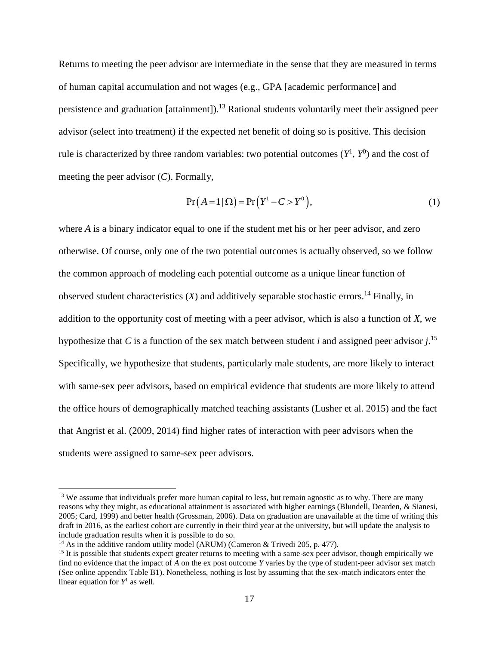Returns to meeting the peer advisor are intermediate in the sense that they are measured in terms of human capital accumulation and not wages (e.g., GPA [academic performance] and persistence and graduation [attainment]).<sup>13</sup> Rational students voluntarily meet their assigned peer advisor (select into treatment) if the expected net benefit of doing so is positive. This decision rule is characterized by three random variables: two potential outcomes  $(Y^1, Y^0)$  and the cost of meeting the peer advisor (*C*). Formally,

$$
Pr(A=1|\Omega) = Pr(Y^{1} - C > Y^{0}),
$$
\n(1)

where *A* is a binary indicator equal to one if the student met his or her peer advisor, and zero otherwise. Of course, only one of the two potential outcomes is actually observed, so we follow the common approach of modeling each potential outcome as a unique linear function of observed student characteristics  $(X)$  and additively separable stochastic errors.<sup>14</sup> Finally, in addition to the opportunity cost of meeting with a peer advisor, which is also a function of *X*, we hypothesize that *C* is a function of the sex match between student *i* and assigned peer advisor *j*. 15 Specifically, we hypothesize that students, particularly male students, are more likely to interact with same-sex peer advisors, based on empirical evidence that students are more likely to attend the office hours of demographically matched teaching assistants (Lusher et al. 2015) and the fact that Angrist et al. (2009, 2014) find higher rates of interaction with peer advisors when the students were assigned to same-sex peer advisors.

<sup>&</sup>lt;sup>13</sup> We assume that individuals prefer more human capital to less, but remain agnostic as to why. There are many reasons why they might, as educational attainment is associated with higher earnings (Blundell, Dearden, & Sianesi, 2005; Card, 1999) and better health (Grossman, 2006). Data on graduation are unavailable at the time of writing this draft in 2016, as the earliest cohort are currently in their third year at the university, but will update the analysis to include graduation results when it is possible to do so.

<sup>&</sup>lt;sup>14</sup> As in the additive random utility model (ARUM) (Cameron & Trivedi 205, p. 477).

 $15$  It is possible that students expect greater returns to meeting with a same-sex peer advisor, though empirically we find no evidence that the impact of *A* on the ex post outcome *Y* varies by the type of student-peer advisor sex match (See online appendix Table B1). Nonetheless, nothing is lost by assuming that the sex-match indicators enter the linear equation for  $Y^1$  as well.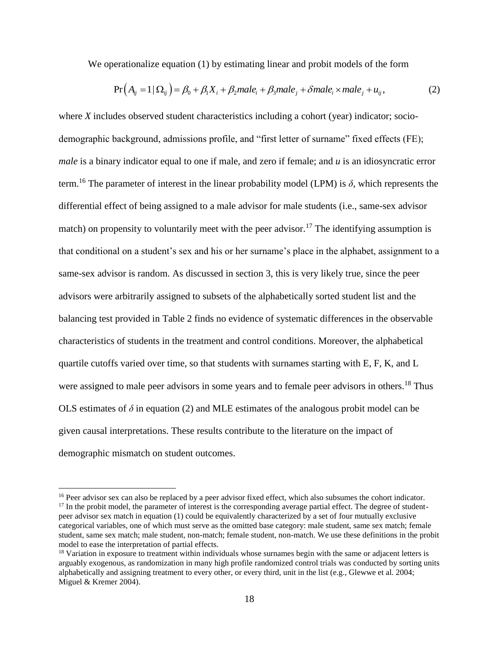We operationalize equation (1) by estimating linear and probit models of the form

$$
Pr(A_{ij} = 1 | \Omega_{ij}) = \beta_0 + \beta_1 X_i + \beta_2 male_i + \beta_3 male_j + \delta male_i \times male_j + u_{ij},
$$
\n(2)

where *X* includes observed student characteristics including a cohort (year) indicator; sociodemographic background, admissions profile, and "first letter of surname" fixed effects (FE); *male* is a binary indicator equal to one if male, and zero if female; and *u* is an idiosyncratic error term.<sup>16</sup> The parameter of interest in the linear probability model (LPM) is  $\delta$ , which represents the differential effect of being assigned to a male advisor for male students (i.e., same-sex advisor match) on propensity to voluntarily meet with the peer advisor.<sup>17</sup> The identifying assumption is that conditional on a student's sex and his or her surname's place in the alphabet, assignment to a same-sex advisor is random. As discussed in section 3, this is very likely true, since the peer advisors were arbitrarily assigned to subsets of the alphabetically sorted student list and the balancing test provided in Table 2 finds no evidence of systematic differences in the observable characteristics of students in the treatment and control conditions. Moreover, the alphabetical quartile cutoffs varied over time, so that students with surnames starting with E, F, K, and L were assigned to male peer advisors in some years and to female peer advisors in others.<sup>18</sup> Thus OLS estimates of  $\delta$  in equation (2) and MLE estimates of the analogous probit model can be given causal interpretations. These results contribute to the literature on the impact of demographic mismatch on student outcomes.

<sup>&</sup>lt;sup>16</sup> Peer advisor sex can also be replaced by a peer advisor fixed effect, which also subsumes the cohort indicator. <sup>17</sup> In the probit model, the parameter of interest is the corresponding average partial effect. The degree of studentpeer advisor sex match in equation (1) could be equivalently characterized by a set of four mutually exclusive categorical variables, one of which must serve as the omitted base category: male student, same sex match; female student, same sex match; male student, non-match; female student, non-match. We use these definitions in the probit model to ease the interpretation of partial effects.

<sup>&</sup>lt;sup>18</sup> Variation in exposure to treatment within individuals whose surnames begin with the same or adjacent letters is arguably exogenous, as randomization in many high profile randomized control trials was conducted by sorting units alphabetically and assigning treatment to every other, or every third, unit in the list (e.g., Glewwe et al. 2004; Miguel & Kremer 2004).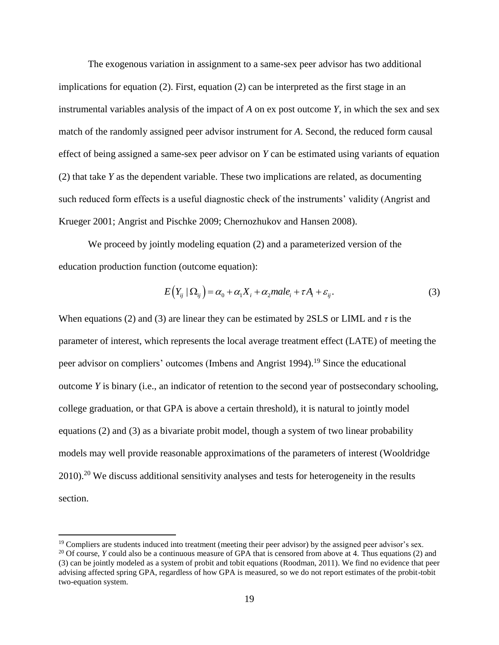The exogenous variation in assignment to a same-sex peer advisor has two additional implications for equation (2). First, equation (2) can be interpreted as the first stage in an instrumental variables analysis of the impact of *A* on ex post outcome *Y*, in which the sex and sex match of the randomly assigned peer advisor instrument for *A*. Second, the reduced form causal effect of being assigned a same-sex peer advisor on *Y* can be estimated using variants of equation (2) that take *Y* as the dependent variable. These two implications are related, as documenting such reduced form effects is a useful diagnostic check of the instruments' validity (Angrist and Krueger 2001; Angrist and Pischke 2009; Chernozhukov and Hansen 2008).

We proceed by jointly modeling equation (2) and a parameterized version of the education production function (outcome equation):

$$
E(Y_{ij} | \Omega_{ij}) = \alpha_0 + \alpha_1 X_i + \alpha_2 male_i + \tau A_i + \varepsilon_{ij}.
$$
\n(3)

When equations (2) and (3) are linear they can be estimated by 2SLS or LIML and  $\tau$  is the parameter of interest, which represents the local average treatment effect (LATE) of meeting the peer advisor on compliers' outcomes (Imbens and Angrist 1994).<sup>19</sup> Since the educational outcome *Y* is binary (i.e., an indicator of retention to the second year of postsecondary schooling, college graduation, or that GPA is above a certain threshold), it is natural to jointly model equations (2) and (3) as a bivariate probit model, though a system of two linear probability models may well provide reasonable approximations of the parameters of interest (Wooldridge  $2010$ <sup>20</sup> We discuss additional sensitivity analyses and tests for heterogeneity in the results section.

<sup>&</sup>lt;sup>19</sup> Compliers are students induced into treatment (meeting their peer advisor) by the assigned peer advisor's sex.

<sup>&</sup>lt;sup>20</sup> Of course, *Y* could also be a continuous measure of GPA that is censored from above at 4. Thus equations (2) and (3) can be jointly modeled as a system of probit and tobit equations (Roodman, 2011). We find no evidence that peer advising affected spring GPA, regardless of how GPA is measured, so we do not report estimates of the probit-tobit two-equation system.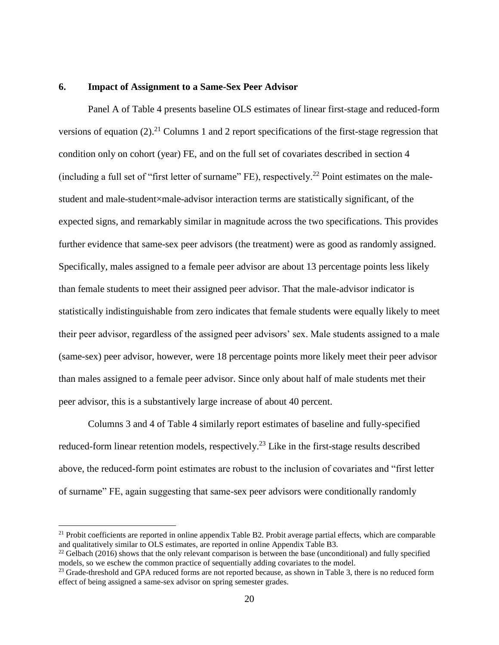#### **6. Impact of Assignment to a Same-Sex Peer Advisor**

Panel A of Table 4 presents baseline OLS estimates of linear first-stage and reduced-form versions of equation  $(2)$ .<sup>21</sup> Columns 1 and 2 report specifications of the first-stage regression that condition only on cohort (year) FE, and on the full set of covariates described in section 4 (including a full set of "first letter of surname" FE), respectively.<sup>22</sup> Point estimates on the malestudent and male-student×male-advisor interaction terms are statistically significant, of the expected signs, and remarkably similar in magnitude across the two specifications. This provides further evidence that same-sex peer advisors (the treatment) were as good as randomly assigned. Specifically, males assigned to a female peer advisor are about 13 percentage points less likely than female students to meet their assigned peer advisor. That the male-advisor indicator is statistically indistinguishable from zero indicates that female students were equally likely to meet their peer advisor, regardless of the assigned peer advisors' sex. Male students assigned to a male (same-sex) peer advisor, however, were 18 percentage points more likely meet their peer advisor than males assigned to a female peer advisor. Since only about half of male students met their peer advisor, this is a substantively large increase of about 40 percent.

Columns 3 and 4 of Table 4 similarly report estimates of baseline and fully-specified reduced-form linear retention models, respectively.<sup>23</sup> Like in the first-stage results described above, the reduced-form point estimates are robust to the inclusion of covariates and "first letter of surname" FE, again suggesting that same-sex peer advisors were conditionally randomly

 $21$  Probit coefficients are reported in online appendix Table B2. Probit average partial effects, which are comparable and qualitatively similar to OLS estimates, are reported in online Appendix Table B3.

<sup>&</sup>lt;sup>22</sup> Gelbach (2016) shows that the only relevant comparison is between the base (unconditional) and fully specified models, so we eschew the common practice of sequentially adding covariates to the model.

<sup>&</sup>lt;sup>23</sup> Grade-threshold and GPA reduced forms are not reported because, as shown in Table 3, there is no reduced form effect of being assigned a same-sex advisor on spring semester grades.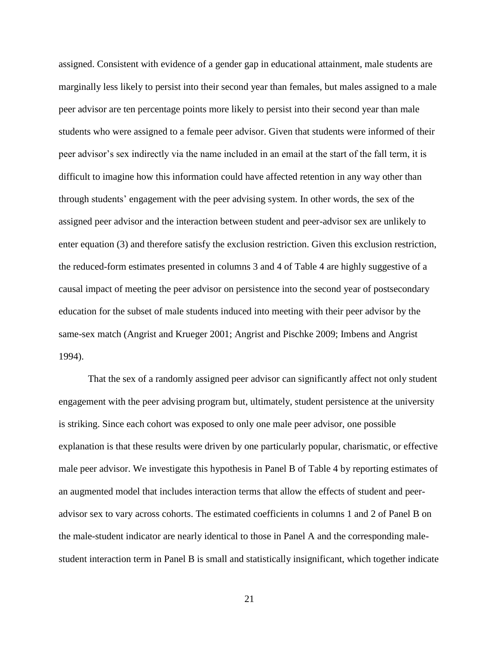assigned. Consistent with evidence of a gender gap in educational attainment, male students are marginally less likely to persist into their second year than females, but males assigned to a male peer advisor are ten percentage points more likely to persist into their second year than male students who were assigned to a female peer advisor. Given that students were informed of their peer advisor's sex indirectly via the name included in an email at the start of the fall term, it is difficult to imagine how this information could have affected retention in any way other than through students' engagement with the peer advising system. In other words, the sex of the assigned peer advisor and the interaction between student and peer-advisor sex are unlikely to enter equation (3) and therefore satisfy the exclusion restriction. Given this exclusion restriction, the reduced-form estimates presented in columns 3 and 4 of Table 4 are highly suggestive of a causal impact of meeting the peer advisor on persistence into the second year of postsecondary education for the subset of male students induced into meeting with their peer advisor by the same-sex match (Angrist and Krueger 2001; Angrist and Pischke 2009; Imbens and Angrist 1994).

That the sex of a randomly assigned peer advisor can significantly affect not only student engagement with the peer advising program but, ultimately, student persistence at the university is striking. Since each cohort was exposed to only one male peer advisor, one possible explanation is that these results were driven by one particularly popular, charismatic, or effective male peer advisor. We investigate this hypothesis in Panel B of Table 4 by reporting estimates of an augmented model that includes interaction terms that allow the effects of student and peeradvisor sex to vary across cohorts. The estimated coefficients in columns 1 and 2 of Panel B on the male-student indicator are nearly identical to those in Panel A and the corresponding malestudent interaction term in Panel B is small and statistically insignificant, which together indicate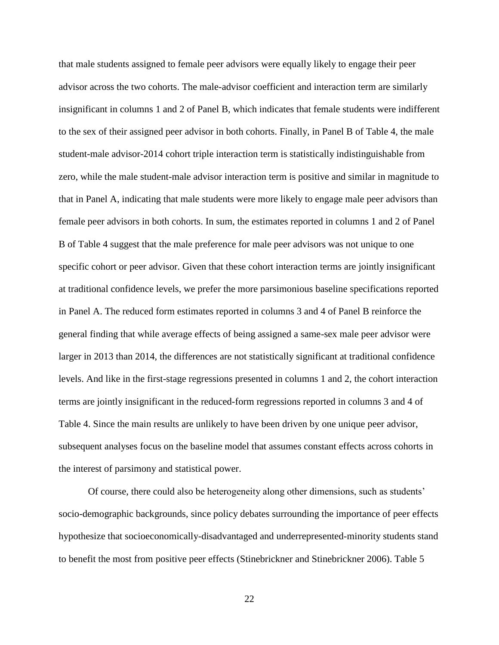that male students assigned to female peer advisors were equally likely to engage their peer advisor across the two cohorts. The male-advisor coefficient and interaction term are similarly insignificant in columns 1 and 2 of Panel B, which indicates that female students were indifferent to the sex of their assigned peer advisor in both cohorts. Finally, in Panel B of Table 4, the male student-male advisor-2014 cohort triple interaction term is statistically indistinguishable from zero, while the male student-male advisor interaction term is positive and similar in magnitude to that in Panel A, indicating that male students were more likely to engage male peer advisors than female peer advisors in both cohorts. In sum, the estimates reported in columns 1 and 2 of Panel B of Table 4 suggest that the male preference for male peer advisors was not unique to one specific cohort or peer advisor. Given that these cohort interaction terms are jointly insignificant at traditional confidence levels, we prefer the more parsimonious baseline specifications reported in Panel A. The reduced form estimates reported in columns 3 and 4 of Panel B reinforce the general finding that while average effects of being assigned a same-sex male peer advisor were larger in 2013 than 2014, the differences are not statistically significant at traditional confidence levels. And like in the first-stage regressions presented in columns 1 and 2, the cohort interaction terms are jointly insignificant in the reduced-form regressions reported in columns 3 and 4 of Table 4. Since the main results are unlikely to have been driven by one unique peer advisor, subsequent analyses focus on the baseline model that assumes constant effects across cohorts in the interest of parsimony and statistical power.

Of course, there could also be heterogeneity along other dimensions, such as students' socio-demographic backgrounds, since policy debates surrounding the importance of peer effects hypothesize that socioeconomically-disadvantaged and underrepresented-minority students stand to benefit the most from positive peer effects (Stinebrickner and Stinebrickner 2006). Table 5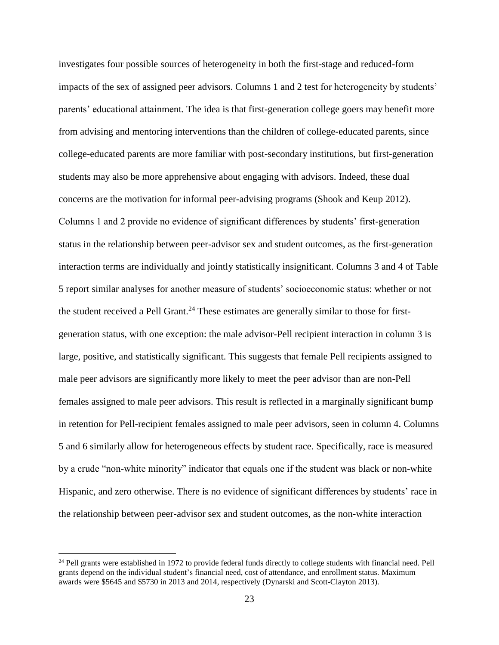investigates four possible sources of heterogeneity in both the first-stage and reduced-form impacts of the sex of assigned peer advisors. Columns 1 and 2 test for heterogeneity by students' parents' educational attainment. The idea is that first-generation college goers may benefit more from advising and mentoring interventions than the children of college-educated parents, since college-educated parents are more familiar with post-secondary institutions, but first-generation students may also be more apprehensive about engaging with advisors. Indeed, these dual concerns are the motivation for informal peer-advising programs (Shook and Keup 2012). Columns 1 and 2 provide no evidence of significant differences by students' first-generation status in the relationship between peer-advisor sex and student outcomes, as the first-generation interaction terms are individually and jointly statistically insignificant. Columns 3 and 4 of Table 5 report similar analyses for another measure of students' socioeconomic status: whether or not the student received a Pell Grant.<sup>24</sup> These estimates are generally similar to those for firstgeneration status, with one exception: the male advisor-Pell recipient interaction in column 3 is large, positive, and statistically significant. This suggests that female Pell recipients assigned to male peer advisors are significantly more likely to meet the peer advisor than are non-Pell females assigned to male peer advisors. This result is reflected in a marginally significant bump in retention for Pell-recipient females assigned to male peer advisors, seen in column 4. Columns 5 and 6 similarly allow for heterogeneous effects by student race. Specifically, race is measured by a crude "non-white minority" indicator that equals one if the student was black or non-white Hispanic, and zero otherwise. There is no evidence of significant differences by students' race in the relationship between peer-advisor sex and student outcomes, as the non-white interaction

<sup>&</sup>lt;sup>24</sup> Pell grants were established in 1972 to provide federal funds directly to college students with financial need. Pell grants depend on the individual student's financial need, cost of attendance, and enrollment status. Maximum awards were \$5645 and \$5730 in 2013 and 2014, respectively (Dynarski and Scott-Clayton 2013).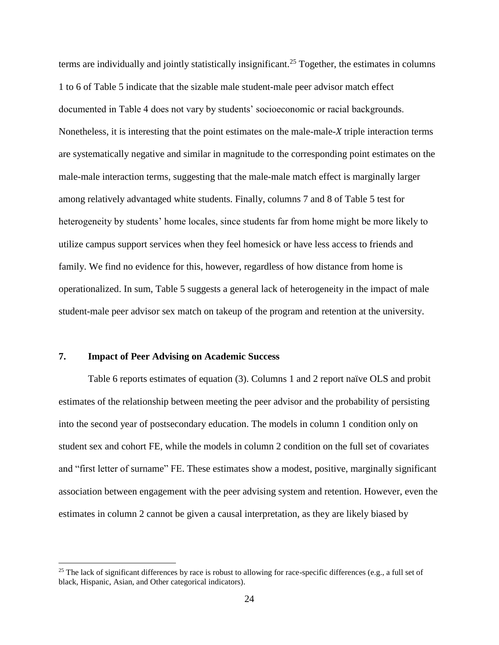terms are individually and jointly statistically insignificant.<sup>25</sup> Together, the estimates in columns 1 to 6 of Table 5 indicate that the sizable male student-male peer advisor match effect documented in Table 4 does not vary by students' socioeconomic or racial backgrounds. Nonetheless, it is interesting that the point estimates on the male-male-*X* triple interaction terms are systematically negative and similar in magnitude to the corresponding point estimates on the male-male interaction terms, suggesting that the male-male match effect is marginally larger among relatively advantaged white students. Finally, columns 7 and 8 of Table 5 test for heterogeneity by students' home locales, since students far from home might be more likely to utilize campus support services when they feel homesick or have less access to friends and family. We find no evidence for this, however, regardless of how distance from home is operationalized. In sum, Table 5 suggests a general lack of heterogeneity in the impact of male student-male peer advisor sex match on takeup of the program and retention at the university.

### **7. Impact of Peer Advising on Academic Success**

 $\overline{a}$ 

Table 6 reports estimates of equation (3). Columns 1 and 2 report naïve OLS and probit estimates of the relationship between meeting the peer advisor and the probability of persisting into the second year of postsecondary education. The models in column 1 condition only on student sex and cohort FE, while the models in column 2 condition on the full set of covariates and "first letter of surname" FE. These estimates show a modest, positive, marginally significant association between engagement with the peer advising system and retention. However, even the estimates in column 2 cannot be given a causal interpretation, as they are likely biased by

<sup>&</sup>lt;sup>25</sup> The lack of significant differences by race is robust to allowing for race-specific differences (e.g., a full set of black, Hispanic, Asian, and Other categorical indicators).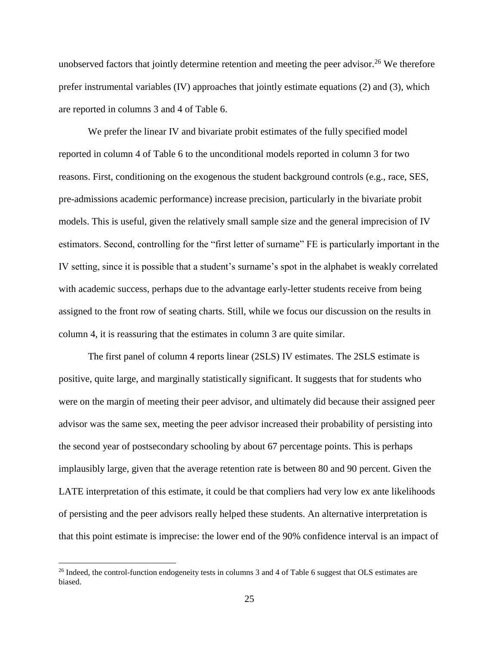unobserved factors that jointly determine retention and meeting the peer advisor.<sup>26</sup> We therefore prefer instrumental variables (IV) approaches that jointly estimate equations (2) and (3), which are reported in columns 3 and 4 of Table 6.

We prefer the linear IV and bivariate probit estimates of the fully specified model reported in column 4 of Table 6 to the unconditional models reported in column 3 for two reasons. First, conditioning on the exogenous the student background controls (e.g., race, SES, pre-admissions academic performance) increase precision, particularly in the bivariate probit models. This is useful, given the relatively small sample size and the general imprecision of IV estimators. Second, controlling for the "first letter of surname" FE is particularly important in the IV setting, since it is possible that a student's surname's spot in the alphabet is weakly correlated with academic success, perhaps due to the advantage early-letter students receive from being assigned to the front row of seating charts. Still, while we focus our discussion on the results in column 4, it is reassuring that the estimates in column 3 are quite similar.

The first panel of column 4 reports linear (2SLS) IV estimates. The 2SLS estimate is positive, quite large, and marginally statistically significant. It suggests that for students who were on the margin of meeting their peer advisor, and ultimately did because their assigned peer advisor was the same sex, meeting the peer advisor increased their probability of persisting into the second year of postsecondary schooling by about 67 percentage points. This is perhaps implausibly large, given that the average retention rate is between 80 and 90 percent. Given the LATE interpretation of this estimate, it could be that compliers had very low ex ante likelihoods of persisting and the peer advisors really helped these students. An alternative interpretation is that this point estimate is imprecise: the lower end of the 90% confidence interval is an impact of

<sup>&</sup>lt;sup>26</sup> Indeed, the control-function endogeneity tests in columns 3 and 4 of Table 6 suggest that OLS estimates are biased.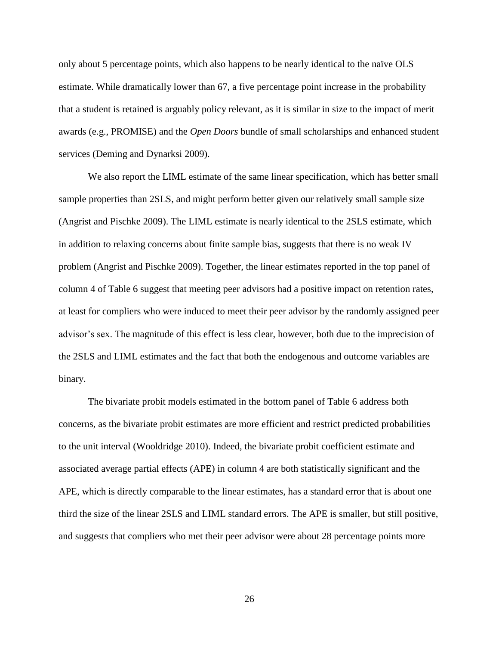only about 5 percentage points, which also happens to be nearly identical to the naïve OLS estimate. While dramatically lower than 67, a five percentage point increase in the probability that a student is retained is arguably policy relevant, as it is similar in size to the impact of merit awards (e.g., PROMISE) and the *Open Doors* bundle of small scholarships and enhanced student services (Deming and Dynarksi 2009).

We also report the LIML estimate of the same linear specification, which has better small sample properties than 2SLS, and might perform better given our relatively small sample size (Angrist and Pischke 2009). The LIML estimate is nearly identical to the 2SLS estimate, which in addition to relaxing concerns about finite sample bias, suggests that there is no weak IV problem (Angrist and Pischke 2009). Together, the linear estimates reported in the top panel of column 4 of Table 6 suggest that meeting peer advisors had a positive impact on retention rates, at least for compliers who were induced to meet their peer advisor by the randomly assigned peer advisor's sex. The magnitude of this effect is less clear, however, both due to the imprecision of the 2SLS and LIML estimates and the fact that both the endogenous and outcome variables are binary.

The bivariate probit models estimated in the bottom panel of Table 6 address both concerns, as the bivariate probit estimates are more efficient and restrict predicted probabilities to the unit interval (Wooldridge 2010). Indeed, the bivariate probit coefficient estimate and associated average partial effects (APE) in column 4 are both statistically significant and the APE, which is directly comparable to the linear estimates, has a standard error that is about one third the size of the linear 2SLS and LIML standard errors. The APE is smaller, but still positive, and suggests that compliers who met their peer advisor were about 28 percentage points more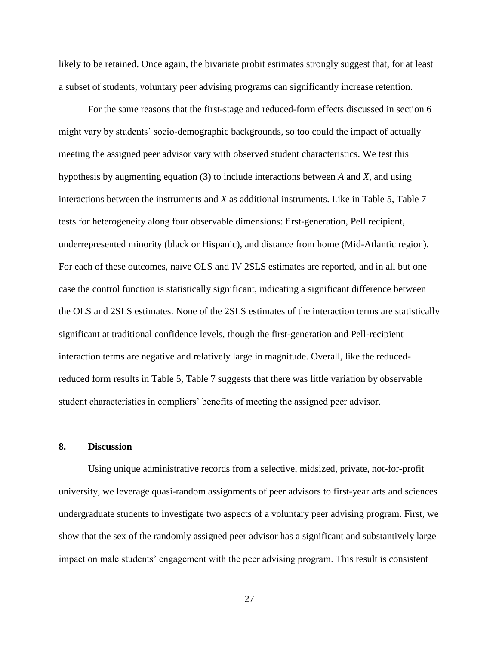likely to be retained. Once again, the bivariate probit estimates strongly suggest that, for at least a subset of students, voluntary peer advising programs can significantly increase retention.

For the same reasons that the first-stage and reduced-form effects discussed in section 6 might vary by students' socio-demographic backgrounds, so too could the impact of actually meeting the assigned peer advisor vary with observed student characteristics. We test this hypothesis by augmenting equation (3) to include interactions between *A* and *X*, and using interactions between the instruments and *X* as additional instruments. Like in Table 5, Table 7 tests for heterogeneity along four observable dimensions: first-generation, Pell recipient, underrepresented minority (black or Hispanic), and distance from home (Mid-Atlantic region). For each of these outcomes, naïve OLS and IV 2SLS estimates are reported, and in all but one case the control function is statistically significant, indicating a significant difference between the OLS and 2SLS estimates. None of the 2SLS estimates of the interaction terms are statistically significant at traditional confidence levels, though the first-generation and Pell-recipient interaction terms are negative and relatively large in magnitude. Overall, like the reducedreduced form results in Table 5, Table 7 suggests that there was little variation by observable student characteristics in compliers' benefits of meeting the assigned peer advisor.

#### **8. Discussion**

Using unique administrative records from a selective, midsized, private, not-for-profit university, we leverage quasi-random assignments of peer advisors to first-year arts and sciences undergraduate students to investigate two aspects of a voluntary peer advising program. First, we show that the sex of the randomly assigned peer advisor has a significant and substantively large impact on male students' engagement with the peer advising program. This result is consistent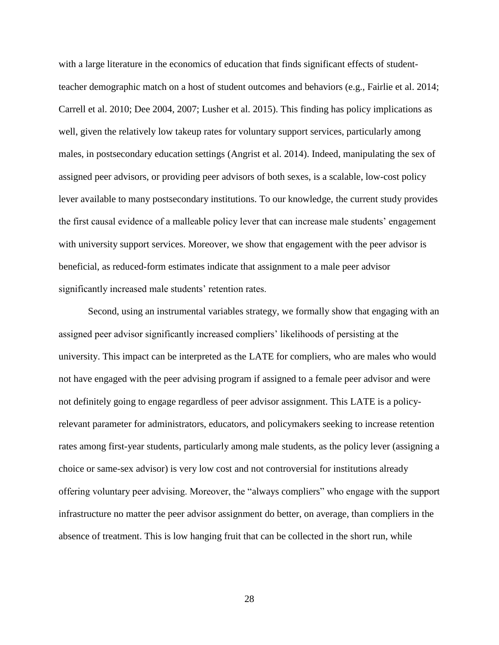with a large literature in the economics of education that finds significant effects of studentteacher demographic match on a host of student outcomes and behaviors (e.g., Fairlie et al. 2014; Carrell et al. 2010; Dee 2004, 2007; Lusher et al. 2015). This finding has policy implications as well, given the relatively low takeup rates for voluntary support services, particularly among males, in postsecondary education settings (Angrist et al. 2014). Indeed, manipulating the sex of assigned peer advisors, or providing peer advisors of both sexes, is a scalable, low-cost policy lever available to many postsecondary institutions. To our knowledge, the current study provides the first causal evidence of a malleable policy lever that can increase male students' engagement with university support services. Moreover, we show that engagement with the peer advisor is beneficial, as reduced-form estimates indicate that assignment to a male peer advisor significantly increased male students' retention rates.

Second, using an instrumental variables strategy, we formally show that engaging with an assigned peer advisor significantly increased compliers' likelihoods of persisting at the university. This impact can be interpreted as the LATE for compliers, who are males who would not have engaged with the peer advising program if assigned to a female peer advisor and were not definitely going to engage regardless of peer advisor assignment. This LATE is a policyrelevant parameter for administrators, educators, and policymakers seeking to increase retention rates among first-year students, particularly among male students, as the policy lever (assigning a choice or same-sex advisor) is very low cost and not controversial for institutions already offering voluntary peer advising. Moreover, the "always compliers" who engage with the support infrastructure no matter the peer advisor assignment do better, on average, than compliers in the absence of treatment. This is low hanging fruit that can be collected in the short run, while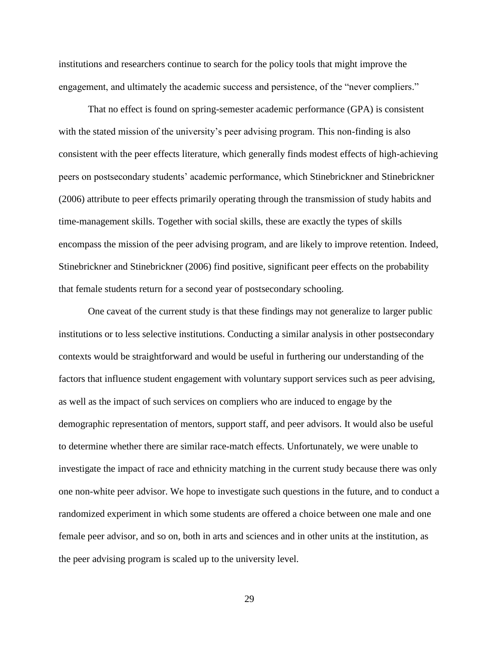institutions and researchers continue to search for the policy tools that might improve the engagement, and ultimately the academic success and persistence, of the "never compliers."

That no effect is found on spring-semester academic performance (GPA) is consistent with the stated mission of the university's peer advising program. This non-finding is also consistent with the peer effects literature, which generally finds modest effects of high-achieving peers on postsecondary students' academic performance, which Stinebrickner and Stinebrickner (2006) attribute to peer effects primarily operating through the transmission of study habits and time-management skills. Together with social skills, these are exactly the types of skills encompass the mission of the peer advising program, and are likely to improve retention. Indeed, Stinebrickner and Stinebrickner (2006) find positive, significant peer effects on the probability that female students return for a second year of postsecondary schooling.

One caveat of the current study is that these findings may not generalize to larger public institutions or to less selective institutions. Conducting a similar analysis in other postsecondary contexts would be straightforward and would be useful in furthering our understanding of the factors that influence student engagement with voluntary support services such as peer advising, as well as the impact of such services on compliers who are induced to engage by the demographic representation of mentors, support staff, and peer advisors. It would also be useful to determine whether there are similar race-match effects. Unfortunately, we were unable to investigate the impact of race and ethnicity matching in the current study because there was only one non-white peer advisor. We hope to investigate such questions in the future, and to conduct a randomized experiment in which some students are offered a choice between one male and one female peer advisor, and so on, both in arts and sciences and in other units at the institution, as the peer advising program is scaled up to the university level.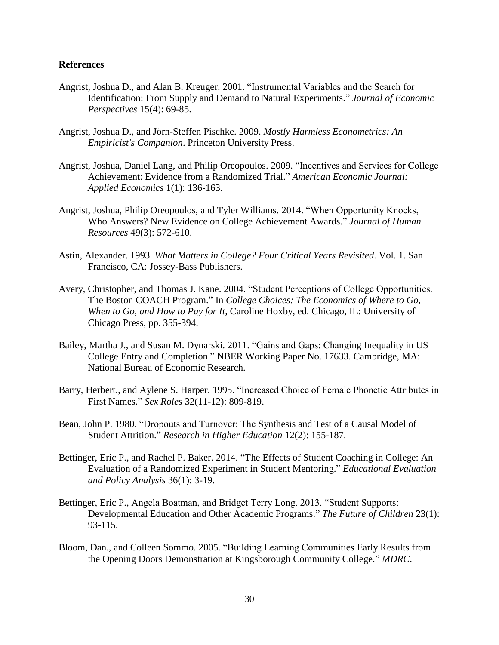#### **References**

- Angrist, Joshua D., and Alan B. Kreuger. 2001. "Instrumental Variables and the Search for Identification: From Supply and Demand to Natural Experiments." *Journal of Economic Perspectives* 15(4): 69-85.
- Angrist, Joshua D., and Jörn-Steffen Pischke. 2009. *Mostly Harmless Econometrics: An Empiricist's Companion*. Princeton University Press.
- Angrist, Joshua, Daniel Lang, and Philip Oreopoulos. 2009. "Incentives and Services for College Achievement: Evidence from a Randomized Trial." *American Economic Journal: Applied Economics* 1(1): 136-163.
- Angrist, Joshua, Philip Oreopoulos, and Tyler Williams. 2014. "When Opportunity Knocks, Who Answers? New Evidence on College Achievement Awards." *Journal of Human Resources* 49(3): 572-610.
- Astin, Alexander. 1993. *What Matters in College? Four Critical Years Revisited.* Vol. 1. San Francisco, CA: Jossey-Bass Publishers.
- Avery, Christopher, and Thomas J. Kane. 2004. "Student Perceptions of College Opportunities. The Boston COACH Program." In *College Choices: The Economics of Where to Go, When to Go, and How to Pay for It,* Caroline Hoxby, ed. Chicago, IL: University of Chicago Press, pp. 355-394.
- Bailey, Martha J., and Susan M. Dynarski. 2011. "Gains and Gaps: Changing Inequality in US College Entry and Completion." NBER Working Paper No. 17633. Cambridge, MA: National Bureau of Economic Research.
- Barry, Herbert., and Aylene S. Harper. 1995. "Increased Choice of Female Phonetic Attributes in First Names." *Sex Roles* 32(11-12): 809-819.
- Bean, John P. 1980. "Dropouts and Turnover: The Synthesis and Test of a Causal Model of Student Attrition." *Research in Higher Education* 12(2): 155-187.
- Bettinger, Eric P., and Rachel P. Baker. 2014. "The Effects of Student Coaching in College: An Evaluation of a Randomized Experiment in Student Mentoring." *Educational Evaluation and Policy Analysis* 36(1): 3-19.
- Bettinger, Eric P., Angela Boatman, and Bridget Terry Long. 2013. "Student Supports: Developmental Education and Other Academic Programs." *The Future of Children* 23(1): 93-115.
- Bloom, Dan., and Colleen Sommo. 2005. "Building Learning Communities Early Results from the Opening Doors Demonstration at Kingsborough Community College." *MDRC*.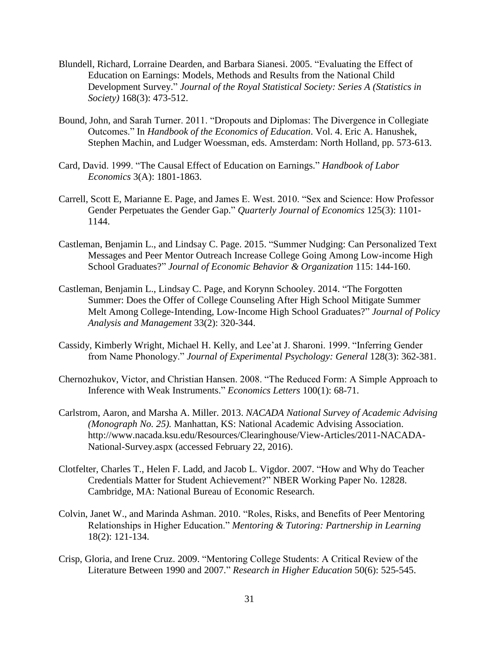- Blundell, Richard, Lorraine Dearden, and Barbara Sianesi. 2005. "Evaluating the Effect of Education on Earnings: Models, Methods and Results from the National Child Development Survey." *Journal of the Royal Statistical Society: Series A (Statistics in Society)* 168(3): 473-512.
- Bound, John, and Sarah Turner. 2011. "Dropouts and Diplomas: The Divergence in Collegiate Outcomes." In *Handbook of the Economics of Education*. Vol. 4. Eric A. Hanushek, Stephen Machin, and Ludger Woessman, eds. Amsterdam: North Holland, pp. 573-613.
- Card, David. 1999. "The Causal Effect of Education on Earnings." *Handbook of Labor Economics* 3(A): 1801-1863.
- Carrell, Scott E, Marianne E. Page, and James E. West. 2010. "Sex and Science: How Professor Gender Perpetuates the Gender Gap." *Quarterly Journal of Economics* 125(3): 1101- 1144.
- Castleman, Benjamin L., and Lindsay C. Page. 2015. "Summer Nudging: Can Personalized Text Messages and Peer Mentor Outreach Increase College Going Among Low-income High School Graduates?" *Journal of Economic Behavior & Organization* 115: 144-160.
- Castleman, Benjamin L., Lindsay C. Page, and Korynn Schooley. 2014. "The Forgotten Summer: Does the Offer of College Counseling After High School Mitigate Summer Melt Among College‐Intending, Low‐Income High School Graduates?" *Journal of Policy Analysis and Management* 33(2): 320-344.
- Cassidy, Kimberly Wright, Michael H. Kelly, and Lee'at J. Sharoni. 1999. "Inferring Gender from Name Phonology." *Journal of Experimental Psychology: General* 128(3): 362-381.
- Chernozhukov, Victor, and Christian Hansen. 2008. "The Reduced Form: A Simple Approach to Inference with Weak Instruments." *Economics Letters* 100(1): 68-71.
- Carlstrom, Aaron, and Marsha A. Miller. 2013. *NACADA National Survey of Academic Advising (Monograph No. 25).* Manhattan, KS: National Academic Advising Association. http://www.nacada.ksu.edu/Resources/Clearinghouse/View-Articles/2011-NACADA-National-Survey.aspx (accessed February 22, 2016).
- Clotfelter, Charles T., Helen F. Ladd, and Jacob L. Vigdor. 2007. "How and Why do Teacher Credentials Matter for Student Achievement?" NBER Working Paper No. 12828. Cambridge, MA: National Bureau of Economic Research.
- Colvin, Janet W., and Marinda Ashman. 2010. "Roles, Risks, and Benefits of Peer Mentoring Relationships in Higher Education." *Mentoring & Tutoring: Partnership in Learning* 18(2): 121-134.
- Crisp, Gloria, and Irene Cruz. 2009. "Mentoring College Students: A Critical Review of the Literature Between 1990 and 2007." *Research in Higher Education* 50(6): 525-545.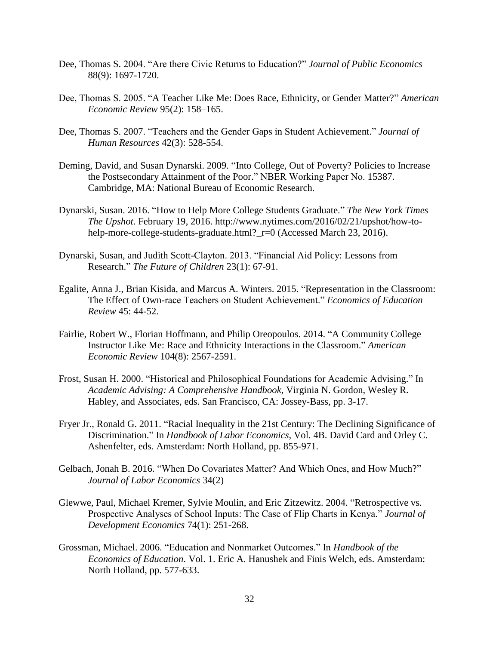- Dee, Thomas S. 2004. "Are there Civic Returns to Education?" *Journal of Public Economics* 88(9): 1697-1720.
- Dee, Thomas S. 2005. "A Teacher Like Me: Does Race, Ethnicity, or Gender Matter?" *American Economic Review* 95(2): 158–165.
- Dee, Thomas S. 2007. "Teachers and the Gender Gaps in Student Achievement." *Journal of Human Resources* 42(3): 528-554.
- Deming, David, and Susan Dynarski. 2009. "Into College, Out of Poverty? Policies to Increase the Postsecondary Attainment of the Poor." NBER Working Paper No. 15387. Cambridge, MA: National Bureau of Economic Research.
- Dynarski, Susan. 2016. "How to Help More College Students Graduate." *The New York Times The Upshot*. February 19, 2016. http://www.nytimes.com/2016/02/21/upshot/how-tohelp-more-college-students-graduate.html?\_r=0 (Accessed March 23, 2016).
- Dynarski, Susan, and Judith Scott-Clayton. 2013. "Financial Aid Policy: Lessons from Research." *The Future of Children* 23(1): 67-91.
- Egalite, Anna J., Brian Kisida, and Marcus A. Winters. 2015. "Representation in the Classroom: The Effect of Own-race Teachers on Student Achievement." *Economics of Education Review* 45: 44-52.
- Fairlie, Robert W., Florian Hoffmann, and Philip Oreopoulos. 2014. "A Community College Instructor Like Me: Race and Ethnicity Interactions in the Classroom." *American Economic Review* 104(8): 2567-2591.
- Frost, Susan H. 2000. "Historical and Philosophical Foundations for Academic Advising." In *Academic Advising: A Comprehensive Handbook,* Virginia N. Gordon, Wesley R. Habley, and Associates, eds. San Francisco, CA: Jossey-Bass, pp. 3-17.
- Fryer Jr., Ronald G. 2011. "Racial Inequality in the 21st Century: The Declining Significance of Discrimination." In *Handbook of Labor Economics*, Vol. 4B. David Card and Orley C. Ashenfelter, eds. Amsterdam: North Holland, pp. 855-971.
- Gelbach, Jonah B. 2016. "When Do Covariates Matter? And Which Ones, and How Much?" *Journal of Labor Economics* 34(2)
- Glewwe, Paul, Michael Kremer, Sylvie Moulin, and Eric Zitzewitz. 2004. "Retrospective vs. Prospective Analyses of School Inputs: The Case of Flip Charts in Kenya." *Journal of Development Economics* 74(1): 251-268.
- Grossman, Michael. 2006. "Education and Nonmarket Outcomes." In *Handbook of the Economics of Education*. Vol. 1. Eric A. Hanushek and Finis Welch, eds. Amsterdam: North Holland, pp. 577-633.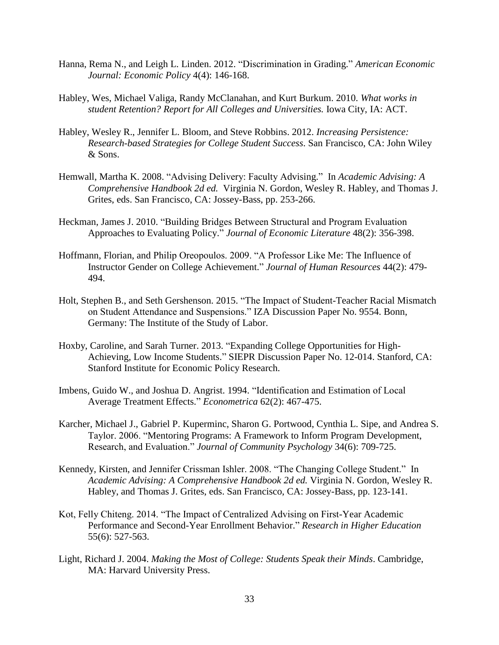- Hanna, Rema N., and Leigh L. Linden. 2012. "Discrimination in Grading." *American Economic Journal: Economic Policy* 4(4): 146-168.
- Habley, Wes, Michael Valiga, Randy McClanahan, and Kurt Burkum. 2010. *What works in student Retention? Report for All Colleges and Universities.* Iowa City, IA: ACT.
- Habley, Wesley R., Jennifer L. Bloom, and Steve Robbins. 2012. *Increasing Persistence: Research-based Strategies for College Student Success*. San Francisco, CA: John Wiley & Sons.
- Hemwall, Martha K. 2008. "Advising Delivery: Faculty Advising." In *Academic Advising: A Comprehensive Handbook 2d ed.* Virginia N. Gordon, Wesley R. Habley, and Thomas J. Grites, eds. San Francisco, CA: Jossey-Bass, pp. 253-266.
- Heckman, James J. 2010. "Building Bridges Between Structural and Program Evaluation Approaches to Evaluating Policy." *Journal of Economic Literature* 48(2): 356-398.
- Hoffmann, Florian, and Philip Oreopoulos. 2009. "A Professor Like Me: The Influence of Instructor Gender on College Achievement." *Journal of Human Resources* 44(2): 479- 494.
- Holt, Stephen B., and Seth Gershenson. 2015. "The Impact of Student-Teacher Racial Mismatch on Student Attendance and Suspensions." IZA Discussion Paper No. 9554. Bonn, Germany: The Institute of the Study of Labor.
- Hoxby, Caroline, and Sarah Turner. 2013. "Expanding College Opportunities for High-Achieving, Low Income Students." SIEPR Discussion Paper No. 12-014. Stanford, CA: Stanford Institute for Economic Policy Research.
- Imbens, Guido W., and Joshua D. Angrist. 1994. "Identification and Estimation of Local Average Treatment Effects." *Econometrica* 62(2): 467-475.
- Karcher, Michael J., Gabriel P. Kuperminc, Sharon G. Portwood, Cynthia L. Sipe, and Andrea S. Taylor. 2006. "Mentoring Programs: A Framework to Inform Program Development, Research, and Evaluation." *Journal of Community Psychology* 34(6): 709-725.
- Kennedy, Kirsten, and Jennifer Crissman Ishler. 2008. "The Changing College Student." In *Academic Advising: A Comprehensive Handbook 2d ed.* Virginia N. Gordon, Wesley R. Habley, and Thomas J. Grites, eds. San Francisco, CA: Jossey-Bass, pp. 123-141.
- Kot, Felly Chiteng. 2014. "The Impact of Centralized Advising on First-Year Academic Performance and Second-Year Enrollment Behavior." *Research in Higher Education* 55(6): 527-563.
- Light, Richard J. 2004. *Making the Most of College: Students Speak their Minds*. Cambridge, MA: Harvard University Press.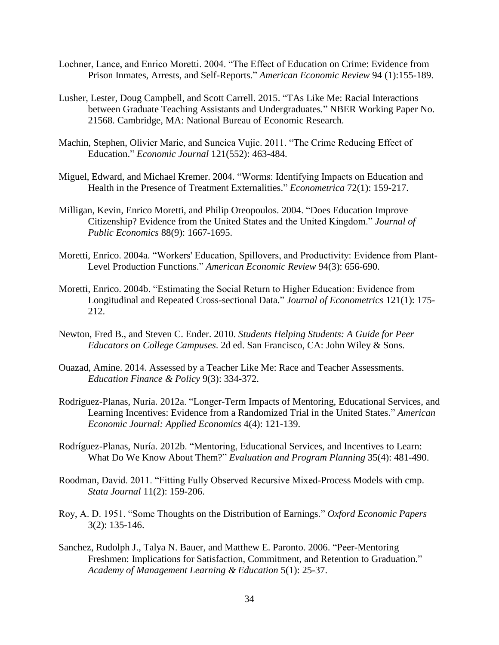- Lochner, Lance, and Enrico Moretti. 2004. "The Effect of Education on Crime: Evidence from Prison Inmates, Arrests, and Self-Reports." *American Economic Review* 94 (1):155-189.
- Lusher, Lester, Doug Campbell, and Scott Carrell. 2015. "TAs Like Me: Racial Interactions between Graduate Teaching Assistants and Undergraduates*.*" NBER Working Paper No. 21568. Cambridge, MA: National Bureau of Economic Research.
- Machin, Stephen, Olivier Marie, and Suncica Vujic. 2011. "The Crime Reducing Effect of Education." *Economic Journal* 121(552): 463-484.
- Miguel, Edward, and Michael Kremer. 2004. "Worms: Identifying Impacts on Education and Health in the Presence of Treatment Externalities." *Econometrica* 72(1): 159-217.
- Milligan, Kevin, Enrico Moretti, and Philip Oreopoulos. 2004. "Does Education Improve Citizenship? Evidence from the United States and the United Kingdom." *Journal of Public Economics* 88(9): 1667-1695.
- Moretti, Enrico. 2004a. "Workers' Education, Spillovers, and Productivity: Evidence from Plant-Level Production Functions." *American Economic Review* 94(3): 656-690.
- Moretti, Enrico. 2004b. "Estimating the Social Return to Higher Education: Evidence from Longitudinal and Repeated Cross-sectional Data." *Journal of Econometrics* 121(1): 175- 212.
- Newton, Fred B., and Steven C. Ender. 2010. *Students Helping Students: A Guide for Peer Educators on College Campuses*. 2d ed. San Francisco, CA: John Wiley & Sons.
- Ouazad, Amine. 2014. Assessed by a Teacher Like Me: Race and Teacher Assessments. *Education Finance & Policy* 9(3): 334-372.
- Rodríguez-Planas, Nuría. 2012a. "Longer-Term Impacts of Mentoring, Educational Services, and Learning Incentives: Evidence from a Randomized Trial in the United States." *American Economic Journal: Applied Economics* 4(4): 121-139.
- Rodríguez-Planas, Nuría. 2012b. "Mentoring, Educational Services, and Incentives to Learn: What Do We Know About Them?" *Evaluation and Program Planning* 35(4): 481-490.
- Roodman, David. 2011. "Fitting Fully Observed Recursive Mixed-Process Models with cmp. *Stata Journal* 11(2): 159-206.
- Roy, A. D. 1951. "Some Thoughts on the Distribution of Earnings." *Oxford Economic Papers* 3(2): 135-146.
- Sanchez, Rudolph J., Talya N. Bauer, and Matthew E. Paronto. 2006. "Peer-Mentoring Freshmen: Implications for Satisfaction, Commitment, and Retention to Graduation." *Academy of Management Learning & Education* 5(1): 25-37.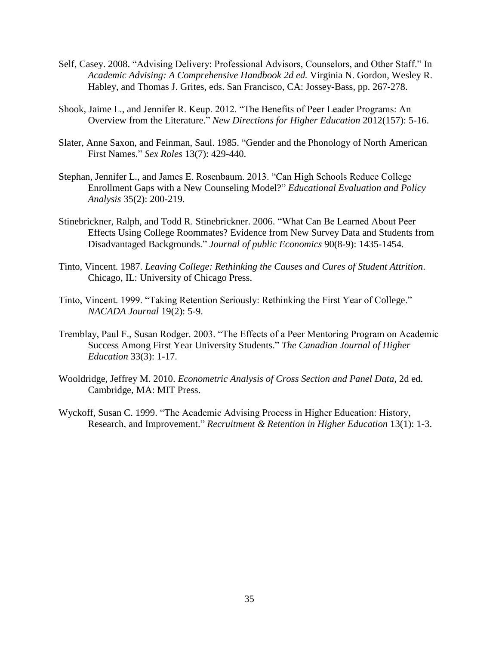- Self, Casey. 2008. "Advising Delivery: Professional Advisors, Counselors, and Other Staff." In *Academic Advising: A Comprehensive Handbook 2d ed.* Virginia N. Gordon, Wesley R. Habley, and Thomas J. Grites, eds. San Francisco, CA: Jossey-Bass, pp. 267-278.
- Shook, Jaime L., and Jennifer R. Keup. 2012. "The Benefits of Peer Leader Programs: An Overview from the Literature." *New Directions for Higher Education* 2012(157): 5-16.
- Slater, Anne Saxon, and Feinman, Saul. 1985. "Gender and the Phonology of North American First Names." *Sex Roles* 13(7): 429-440.
- Stephan, Jennifer L., and James E. Rosenbaum. 2013. "Can High Schools Reduce College Enrollment Gaps with a New Counseling Model?" *Educational Evaluation and Policy Analysis* 35(2): 200-219.
- Stinebrickner, Ralph, and Todd R. Stinebrickner. 2006. "What Can Be Learned About Peer Effects Using College Roommates? Evidence from New Survey Data and Students from Disadvantaged Backgrounds." *Journal of public Economics* 90(8-9): 1435-1454.
- Tinto, Vincent. 1987. *Leaving College: Rethinking the Causes and Cures of Student Attrition*. Chicago, IL: University of Chicago Press.
- Tinto, Vincent. 1999. "Taking Retention Seriously: Rethinking the First Year of College." *NACADA Journal* 19(2): 5-9.
- Tremblay, Paul F., Susan Rodger. 2003. "The Effects of a Peer Mentoring Program on Academic Success Among First Year University Students." *The Canadian Journal of Higher Education* 33(3): 1-17.
- Wooldridge, Jeffrey M. 2010. *Econometric Analysis of Cross Section and Panel Data*, 2d ed. Cambridge, MA: MIT Press.
- Wyckoff, Susan C. 1999. "The Academic Advising Process in Higher Education: History, Research, and Improvement." *Recruitment & Retention in Higher Education* 13(1): 1-3.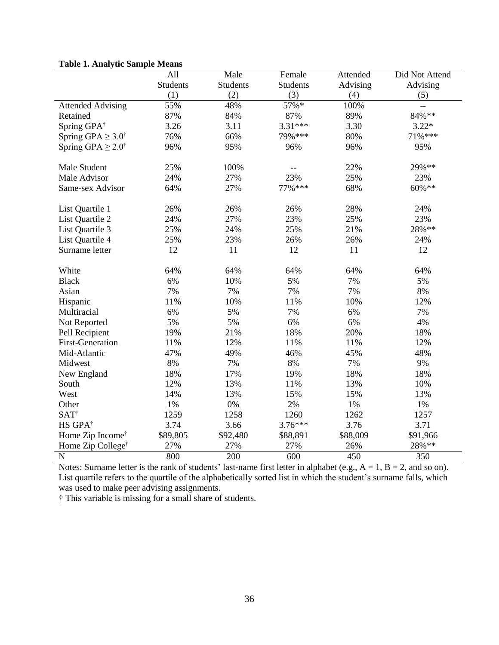|                                 | All             | Male            | Female          | Attended | Did Not Attend |
|---------------------------------|-----------------|-----------------|-----------------|----------|----------------|
|                                 | <b>Students</b> | <b>Students</b> | <b>Students</b> | Advising | Advising       |
|                                 | (1)             | (2)             | (3)             | (4)      | (5)            |
| <b>Attended Advising</b>        | 55%             | 48%             | 57%*            | 100%     | $-$            |
| Retained                        | 87%             | 84%             | 87%             | 89%      | 84%**          |
| Spring GPA <sup>†</sup>         | 3.26            | 3.11            | 3.31***         | 3.30     | $3.22*$        |
| Spring GPA $\geq 3.0^{\dagger}$ | 76%             | 66%             | 79%***          | 80%      | 71%***         |
| Spring GPA $\geq 2.0^{\dagger}$ | 96%             | 95%             | 96%             | 96%      | 95%            |
|                                 |                 |                 |                 |          |                |
| Male Student                    | 25%             | 100%            |                 | 22%      | 29%**          |
| Male Advisor                    | 24%             | 27%             | 23%             | 25%      | 23%            |
| Same-sex Advisor                | 64%             | 27%             | 77% ***         | 68%      | $60\%$ **      |
|                                 |                 |                 |                 |          |                |
| List Quartile 1                 | 26%             | 26%             | 26%             | 28%      | 24%            |
| List Quartile 2                 | 24%             | 27%             | 23%             | 25%      | 23%            |
| List Quartile 3                 | 25%             | 24%             | 25%             | 21%      | 28%**          |
| List Quartile 4                 | 25%             | 23%             | 26%             | 26%      | 24%            |
| Surname letter                  | 12              | 11              | 12              | 11       | 12             |
|                                 |                 |                 |                 |          |                |
| White                           | 64%             | 64%             | 64%             | 64%      | 64%            |
| <b>Black</b>                    | 6%              | 10%             | 5%              | 7%       | 5%             |
| Asian                           | 7%              | 7%              | 7%              | 7%       | 8%             |
| Hispanic                        | 11%             | 10%             | 11%             | 10%      | 12%            |
| Multiracial                     | 6%              | 5%              | 7%              | 6%       | 7%             |
| Not Reported                    | 5%              | 5%              | 6%              | 6%       | 4%             |
| Pell Recipient                  | 19%             | 21%             | 18%             | 20%      | 18%            |
| <b>First-Generation</b>         | 11%             | 12%             | 11%             | 11%      | 12%            |
| Mid-Atlantic                    | 47%             | 49%             | 46%             | 45%      | 48%            |
| Midwest                         | 8%              | 7%              | 8%              | 7%       | 9%             |
| New England                     | 18%             | 17%             | 19%             | 18%      | 18%            |
| South                           | 12%             | 13%             | 11%             | 13%      | 10%            |
| West                            | 14%             | 13%             | 15%             | 15%      | 13%            |
| Other                           | 1%              | $0\%$           | 2%              | 1%       | $1\%$          |
| <b>SAT</b> <sup>†</sup>         | 1259            | 1258            | 1260            | 1262     | 1257           |
| HS GPA <sup>†</sup>             | 3.74            | 3.66            | $3.76***$       | 3.76     | 3.71           |
| Home Zip Income <sup>†</sup>    | \$89,805        | \$92,480        | \$88,891        | \$88,009 | \$91,966       |
| Home Zip College <sup>†</sup>   | 27%             | 27%             | 27%             | 26%      | 28%**          |
| $\mathbf N$                     | 800             | 200             | 600             | 450      | 350            |

# **Table 1. Analytic Sample Means**

Notes: Surname letter is the rank of students' last-name first letter in alphabet (e.g.,  $A = 1$ ,  $B = 2$ , and so on). List quartile refers to the quartile of the alphabetically sorted list in which the student's surname falls, which was used to make peer advising assignments.

† This variable is missing for a small share of students.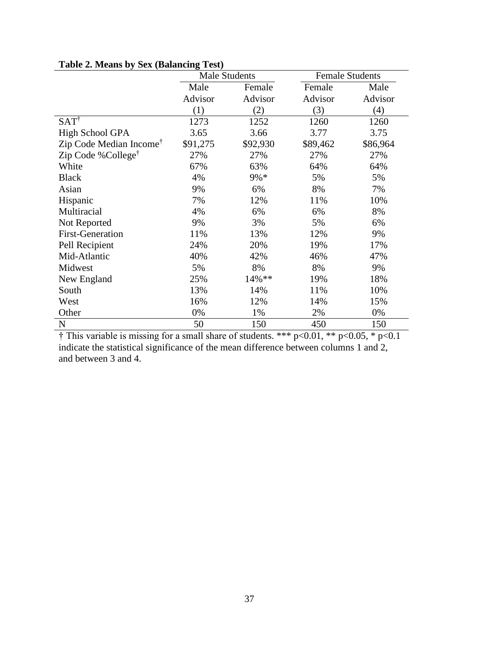|                                     | <b>Male Students</b> |          | <b>Female Students</b> |          |
|-------------------------------------|----------------------|----------|------------------------|----------|
|                                     | Male<br>Female       |          | Female                 | Male     |
|                                     | Advisor              | Advisor  | Advisor                | Advisor  |
|                                     | (1)                  | (2)      | (3)                    | (4)      |
| $SAT^{\dagger}$                     | 1273                 | 1252     | 1260                   | 1260     |
| High School GPA                     | 3.65                 | 3.66     | 3.77                   | 3.75     |
| Zip Code Median Income <sup>†</sup> | \$91,275             | \$92,930 | \$89,462               | \$86,964 |
| Zip Code %College <sup>†</sup>      | 27%                  | 27%      | 27%                    | 27%      |
| White                               | 67%                  | 63%      | 64%                    | 64%      |
| <b>Black</b>                        | 4%                   | 9%*      | 5%                     | 5%       |
| Asian                               | 9%                   | 6%       | 8%                     | 7%       |
| Hispanic                            | 7%                   | 12%      | 11%                    | 10%      |
| Multiracial                         | 4%                   | 6%       | 6%                     | 8%       |
| Not Reported                        | 9%                   | 3%       | 5%                     | 6%       |
| <b>First-Generation</b>             | 11%                  | 13%      | 12%                    | 9%       |
| Pell Recipient                      | 24%                  | 20%      | 19%                    | 17%      |
| Mid-Atlantic                        | 40%                  | 42%      | 46%                    | 47%      |
| Midwest                             | 5%                   | 8%       | 8%                     | 9%       |
| New England                         | 25%                  | 14%**    | 19%                    | 18%      |
| South                               | 13%                  | 14%      | 11%                    | 10%      |
| West                                | 16%                  | 12%      | 14%                    | 15%      |
| Other                               | 0%                   | 1%       | 2%                     | 0%       |
| N                                   | 50                   | 150      | 450                    | 150      |

# **Table 2. Means by Sex (Balancing Test)**

 $\dagger$  This variable is missing for a small share of students. \*\*\* p<0.01, \*\* p<0.05, \* p<0.1 indicate the statistical significance of the mean difference between columns 1 and 2, and between 3 and 4.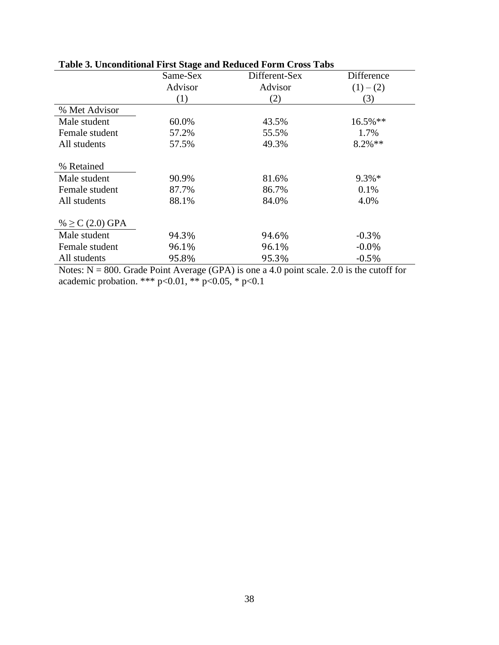|                      | Same-Sex | Different-Sex | Difference |
|----------------------|----------|---------------|------------|
|                      | Advisor  | Advisor       | $(1)-(2)$  |
|                      | (1)      | (2)           | (3)        |
| % Met Advisor        |          |               |            |
| Male student         | 60.0%    | 43.5%         | $16.5%$ ** |
| Female student       | 57.2%    | 55.5%         | 1.7%       |
| All students         | 57.5%    | 49.3%         | $8.2\%**$  |
|                      |          |               |            |
| % Retained           |          |               |            |
| Male student         | 90.9%    | 81.6%         | $9.3\%*$   |
| Female student       | 87.7%    | 86.7%         | 0.1%       |
| All students         | 88.1%    | 84.0%         | 4.0%       |
|                      |          |               |            |
| % $\geq$ C (2.0) GPA |          |               |            |
| Male student         | 94.3%    | 94.6%         | $-0.3\%$   |
| Female student       | 96.1%    | 96.1%         | $-0.0\%$   |
| All students         | 95.8%    | 95.3%         | $-0.5%$    |

# **Table 3. Unconditional First Stage and Reduced Form Cross Tabs**

Notes:  $N = 800$ . Grade Point Average (GPA) is one a 4.0 point scale. 2.0 is the cutoff for academic probation. \*\*\*  $p<0.01$ , \*\*  $p<0.05$ , \*  $p<0.1$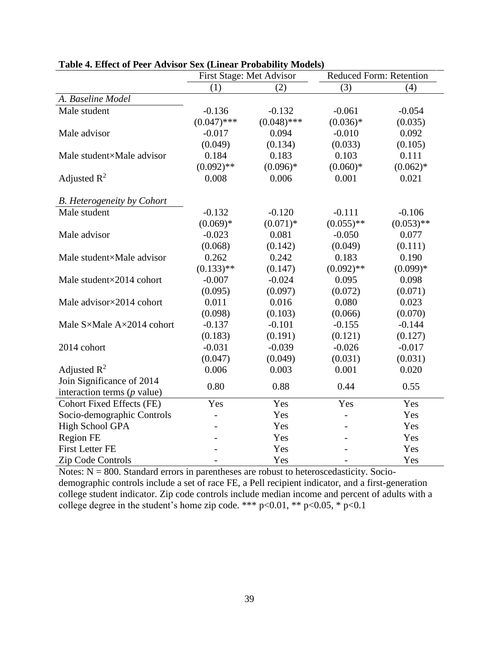|                                   | First Stage: Met Advisor |               |              | Reduced Form: Retention |
|-----------------------------------|--------------------------|---------------|--------------|-------------------------|
|                                   | (1)                      | (2)           | (3)          | (4)                     |
| A. Baseline Model                 |                          |               |              |                         |
| Male student                      | $-0.136$                 | $-0.132$      | $-0.061$     | $-0.054$                |
|                                   | $(0.047)$ ***            | $(0.048)$ *** | $(0.036)*$   | (0.035)                 |
| Male advisor                      | $-0.017$                 | 0.094         | $-0.010$     | 0.092                   |
|                                   | (0.049)                  | (0.134)       | (0.033)      | (0.105)                 |
| Male student×Male advisor         | 0.184                    | 0.183         | 0.103        | 0.111                   |
|                                   | $(0.092)$ **             | $(0.096)*$    | $(0.060)*$   | $(0.062)*$              |
| Adjusted $R^2$                    | 0.008                    | 0.006         | 0.001        | 0.021                   |
| <b>B.</b> Heterogeneity by Cohort |                          |               |              |                         |
| Male student                      | $-0.132$                 | $-0.120$      | $-0.111$     | $-0.106$                |
|                                   | $(0.069)*$               | $(0.071)*$    | $(0.055)$ ** | $(0.053)$ **            |
| Male advisor                      | $-0.023$                 | 0.081         | $-0.050$     | 0.077                   |
|                                   | (0.068)                  | (0.142)       | (0.049)      | (0.111)                 |
| Male student×Male advisor         | 0.262                    | 0.242         | 0.183        | 0.190                   |
|                                   | $(0.133)$ **             | (0.147)       | $(0.092)$ ** | $(0.099)*$              |
| Male student×2014 cohort          | $-0.007$                 | $-0.024$      | 0.095        | 0.098                   |
|                                   | (0.095)                  | (0.097)       | (0.072)      | (0.071)                 |
| Male advisor×2014 cohort          | 0.011                    | 0.016         | 0.080        | 0.023                   |
|                                   | (0.098)                  | (0.103)       | (0.066)      | (0.070)                 |
| Male S×Male A×2014 cohort         | $-0.137$                 | $-0.101$      | $-0.155$     | $-0.144$                |
|                                   | (0.183)                  | (0.191)       | (0.121)      | (0.127)                 |
| 2014 cohort                       | $-0.031$                 | $-0.039$      | $-0.026$     | $-0.017$                |
|                                   | (0.047)                  | (0.049)       | (0.031)      | (0.031)                 |
| Adjusted $R^2$                    | 0.006                    | 0.003         | 0.001        | 0.020                   |
| Join Significance of 2014         | 0.80                     | 0.88          | 0.44         | 0.55                    |
| interaction terms $(p$ value)     |                          |               |              |                         |
| <b>Cohort Fixed Effects (FE)</b>  | Yes                      | Yes           | Yes          | Yes                     |
| Socio-demographic Controls        | $\overline{\phantom{a}}$ | Yes           |              | Yes                     |
| High School GPA                   |                          | Yes           |              | Yes                     |
| <b>Region FE</b>                  |                          | Yes           |              | Yes                     |
| <b>First Letter FE</b>            |                          | Yes           |              | Yes                     |
| Zip Code Controls                 | $\overline{\phantom{0}}$ | Yes           |              | Yes                     |

## **Table 4. Effect of Peer Advisor Sex (Linear Probability Models)**

Notes:  $N = 800$ . Standard errors in parentheses are robust to heteroscedasticity. Sociodemographic controls include a set of race FE, a Pell recipient indicator, and a first-generation college student indicator. Zip code controls include median income and percent of adults with a college degree in the student's home zip code. \*\*\* p<0.01, \*\* p<0.05, \* p<0.1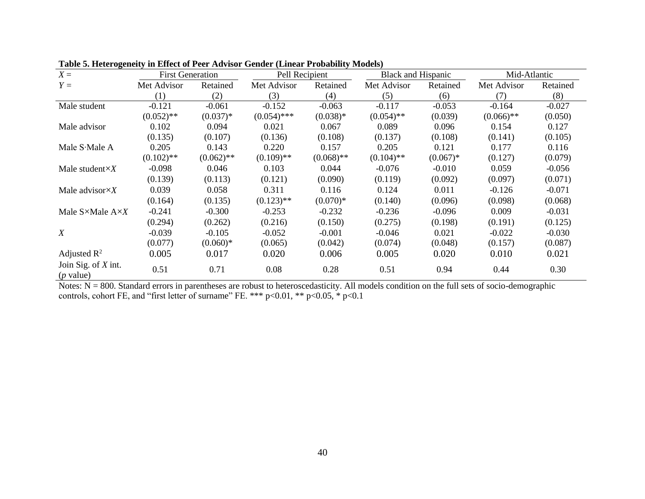| $X =$                                | <b>First Generation</b> |              | Pell Recipient |              |              | Black and Hispanic |              | Mid-Atlantic |
|--------------------------------------|-------------------------|--------------|----------------|--------------|--------------|--------------------|--------------|--------------|
| $Y =$                                | Met Advisor             | Retained     | Met Advisor    | Retained     | Met Advisor  | Retained           | Met Advisor  | Retained     |
|                                      | (1)                     | (2)          | (3)            | (4)          | (5)          | (6)                | (7)          | (8)          |
| Male student                         | $-0.121$                | $-0.061$     | $-0.152$       | $-0.063$     | $-0.117$     | $-0.053$           | $-0.164$     | $-0.027$     |
|                                      | $(0.052)$ **            | $(0.037)*$   | $(0.054)$ ***  | $(0.038)*$   | $(0.054)$ ** | (0.039)            | $(0.066)$ ** | (0.050)      |
| Male advisor                         | 0.102                   | 0.094        | 0.021          | 0.067        | 0.089        | 0.096              | 0.154        | 0.127        |
|                                      | (0.135)                 | (0.107)      | (0.136)        | (0.108)      | (0.137)      | (0.108)            | (0.141)      | (0.105)      |
| Male S.Male A                        | 0.205                   | 0.143        | 0.220          | 0.157        | 0.205        | 0.121              | 0.177        | 0.116        |
|                                      | $(0.102)$ **            | $(0.062)$ ** | $(0.109)$ **   | $(0.068)$ ** | $(0.104)$ ** | $(0.067)*$         | (0.127)      | (0.079)      |
| Male student $\times X$              | $-0.098$                | 0.046        | 0.103          | 0.044        | $-0.076$     | $-0.010$           | 0.059        | $-0.056$     |
|                                      | (0.139)                 | (0.113)      | (0.121)        | (0.090)      | (0.119)      | (0.092)            | (0.097)      | (0.071)      |
| Male advisor $\times X$              | 0.039                   | 0.058        | 0.311          | 0.116        | 0.124        | 0.011              | $-0.126$     | $-0.071$     |
|                                      | (0.164)                 | (0.135)      | $(0.123)$ **   | $(0.070)*$   | (0.140)      | (0.096)            | (0.098)      | (0.068)      |
| Male $S \times$ Male $A \times X$    | $-0.241$                | $-0.300$     | $-0.253$       | $-0.232$     | $-0.236$     | $-0.096$           | 0.009        | $-0.031$     |
|                                      | (0.294)                 | (0.262)      | (0.216)        | (0.150)      | (0.275)      | (0.198)            | (0.191)      | (0.125)      |
| $\boldsymbol{X}$                     | $-0.039$                | $-0.105$     | $-0.052$       | $-0.001$     | $-0.046$     | 0.021              | $-0.022$     | $-0.030$     |
|                                      | (0.077)                 | $(0.060)*$   | (0.065)        | (0.042)      | (0.074)      | (0.048)            | (0.157)      | (0.087)      |
| Adjusted $\mathbb{R}^2$              | 0.005                   | 0.017        | 0.020          | 0.006        | 0.005        | 0.020              | 0.010        | 0.021        |
| Join Sig. of $X$ int.<br>$(p$ value) | 0.51                    | 0.71         | 0.08           | 0.28         | 0.51         | 0.94               | 0.44         | 0.30         |

**Table 5. Heterogeneity in Effect of Peer Advisor Gender (Linear Probability Models)**

Notes: N = 800. Standard errors in parentheses are robust to heteroscedasticity. All models condition on the full sets of socio-demographic controls, cohort FE, and "first letter of surname" FE. \*\*\* p<0.01, \*\* p<0.05, \* p<0.1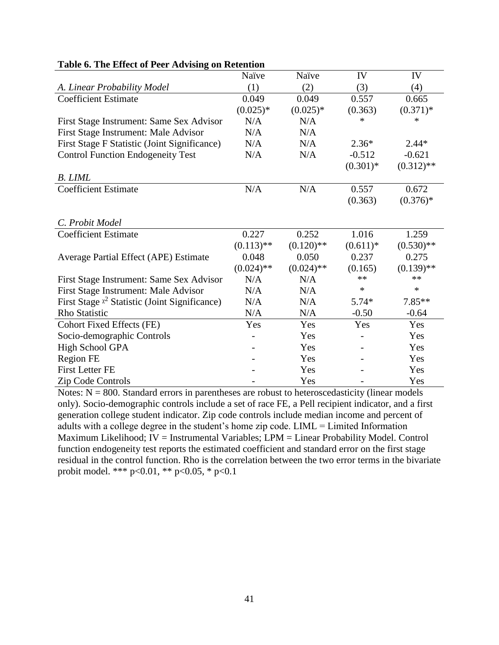|                                                  | Naïve        | Naïve        | IV          | IV           |
|--------------------------------------------------|--------------|--------------|-------------|--------------|
| A. Linear Probability Model                      | (1)          | (2)          | (3)         | (4)          |
| <b>Coefficient Estimate</b>                      | 0.049        | 0.049        | 0.557       | 0.665        |
|                                                  | $(0.025)*$   | $(0.025)*$   | (0.363)     | $(0.371)*$   |
| First Stage Instrument: Same Sex Advisor         | N/A          | N/A          | ∗           | *            |
| First Stage Instrument: Male Advisor             | N/A          | N/A          |             |              |
| First Stage F Statistic (Joint Significance)     | N/A          | N/A          | $2.36*$     | $2.44*$      |
| <b>Control Function Endogeneity Test</b>         | N/A          | N/A          | $-0.512$    | $-0.621$     |
|                                                  |              |              | $(0.301)^*$ | $(0.312)$ ** |
| <b>B.</b> LIML                                   |              |              |             |              |
| <b>Coefficient Estimate</b>                      | N/A          | N/A          | 0.557       | 0.672        |
|                                                  |              |              | (0.363)     | $(0.376)*$   |
|                                                  |              |              |             |              |
| C. Probit Model                                  |              |              |             |              |
| <b>Coefficient Estimate</b>                      | 0.227        | 0.252        | 1.016       | 1.259        |
|                                                  | $(0.113)$ ** | $(0.120)$ ** | $(0.611)*$  | $(0.530)$ ** |
| Average Partial Effect (APE) Estimate            | 0.048        | 0.050        | 0.237       | 0.275        |
|                                                  | $(0.024)$ ** | $(0.024)$ ** | (0.165)     | $(0.139)$ ** |
| First Stage Instrument: Same Sex Advisor         | N/A          | N/A          | **          | **           |
| First Stage Instrument: Male Advisor             | N/A          | N/A          | $\ast$      | $\ast$       |
| First Stage $x^2$ Statistic (Joint Significance) | N/A          | N/A          | $5.74*$     | $7.85**$     |
| <b>Rho Statistic</b>                             | N/A          | N/A          | $-0.50$     | $-0.64$      |
| <b>Cohort Fixed Effects (FE)</b>                 | Yes          | Yes          | Yes         | Yes          |
| Socio-demographic Controls                       |              | Yes          |             | Yes          |
| High School GPA                                  |              | Yes          |             | Yes          |
| Region FE                                        |              | Yes          |             | Yes          |
| <b>First Letter FE</b>                           |              | Yes          |             | Yes          |
| Zip Code Controls                                |              | Yes          |             | Yes          |

### **Table 6. The Effect of Peer Advising on Retention**

Notes:  $N = 800$ . Standard errors in parentheses are robust to heteroscedasticity (linear models only). Socio-demographic controls include a set of race FE, a Pell recipient indicator, and a first generation college student indicator. Zip code controls include median income and percent of adults with a college degree in the student's home zip code. LIML = Limited Information Maximum Likelihood; IV = Instrumental Variables; LPM = Linear Probability Model. Control function endogeneity test reports the estimated coefficient and standard error on the first stage residual in the control function. Rho is the correlation between the two error terms in the bivariate probit model. \*\*\*  $p<0.01$ , \*\*  $p<0.05$ , \*  $p<0.1$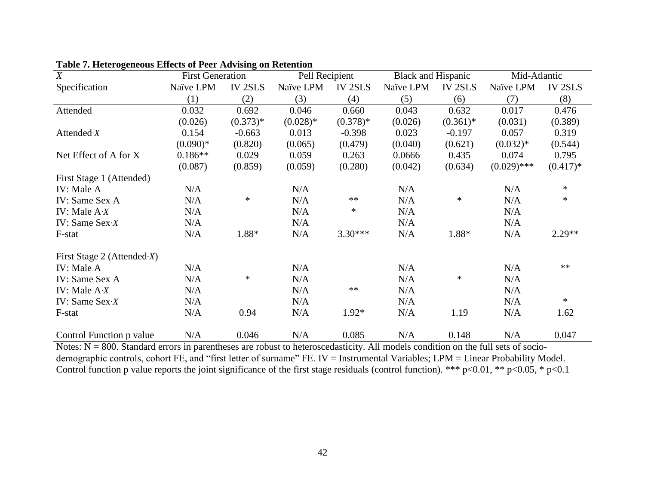| $\boldsymbol{X}$              | <b>First Generation</b> |                | Pell Recipient |                | <b>Black and Hispanic</b> |                | Mid-Atlantic  |                |
|-------------------------------|-------------------------|----------------|----------------|----------------|---------------------------|----------------|---------------|----------------|
| Specification                 | Naïve LPM               | <b>IV 2SLS</b> | Naïve LPM      | <b>IV 2SLS</b> | Naïve LPM                 | <b>IV 2SLS</b> | Naïve LPM     | <b>IV 2SLS</b> |
|                               | (1)                     | (2)            | (3)            | (4)            | (5)                       | (6)            | (7)           | (8)            |
| Attended                      | 0.032                   | 0.692          | 0.046          | 0.660          | 0.043                     | 0.632          | 0.017         | 0.476          |
|                               | (0.026)                 | $(0.373)*$     | $(0.028)*$     | $(0.378)*$     | (0.026)                   | $(0.361)*$     | (0.031)       | (0.389)        |
| Attended $X$                  | 0.154                   | $-0.663$       | 0.013          | $-0.398$       | 0.023                     | $-0.197$       | 0.057         | 0.319          |
|                               | $(0.090)*$              | (0.820)        | (0.065)        | (0.479)        | (0.040)                   | (0.621)        | $(0.032)*$    | (0.544)        |
| Net Effect of A for X         | $0.186**$               | 0.029          | 0.059          | 0.263          | 0.0666                    | 0.435          | 0.074         | 0.795          |
|                               | (0.087)                 | (0.859)        | (0.059)        | (0.280)        | (0.042)                   | (0.634)        | $(0.029)$ *** | $(0.417)*$     |
| First Stage 1 (Attended)      |                         |                |                |                |                           |                |               |                |
| IV: Male A                    | N/A                     |                | N/A            |                | N/A                       |                | N/A           | $\ast$         |
| IV: Same Sex A                | N/A                     | $\ast$         | N/A            | $**$           | N/A                       | $\ast$         | N/A           | $\ast$         |
| IV: Male $A \cdot X$          | N/A                     |                | N/A            | $\ast$         | N/A                       |                | N/A           |                |
| IV: Same $Sex \cdot X$        | N/A                     |                | N/A            |                | N/A                       |                | N/A           |                |
| F-stat                        | N/A                     | 1.88*          | N/A            | $3.30***$      | N/A                       | $1.88*$        | N/A           | $2.29**$       |
| First Stage 2 (Attended $X$ ) |                         |                |                |                |                           |                |               |                |
| IV: Male A                    | N/A                     |                | N/A            |                | N/A                       |                | N/A           | $**$           |
| IV: Same Sex A                | N/A                     | $\ast$         | N/A            |                | N/A                       | ∗              | N/A           |                |
| IV: Male $A \cdot X$          | N/A                     |                | N/A            | $**$           | N/A                       |                | N/A           |                |
| IV: Same $Sex \cdot X$        | N/A                     |                | N/A            |                | N/A                       |                | N/A           | $\ast$         |
| F-stat                        | N/A                     | 0.94           | N/A            | $1.92*$        | N/A                       | 1.19           | N/A           | 1.62           |
| Control Function p value      | N/A                     | 0.046          | N/A            | 0.085          | N/A                       | 0.148          | N/A           | 0.047          |

|  |  |  |  | Table 7. Heterogeneous Effects of Peer Advising on Retention |
|--|--|--|--|--------------------------------------------------------------|
|  |  |  |  |                                                              |

Notes: N = 800. Standard errors in parentheses are robust to heteroscedasticity. All models condition on the full sets of sociodemographic controls, cohort FE, and "first letter of surname" FE. IV = Instrumental Variables; LPM = Linear Probability Model. Control function p value reports the joint significance of the first stage residuals (control function). \*\*\* p<0.01, \*\* p<0.05, \* p<0.1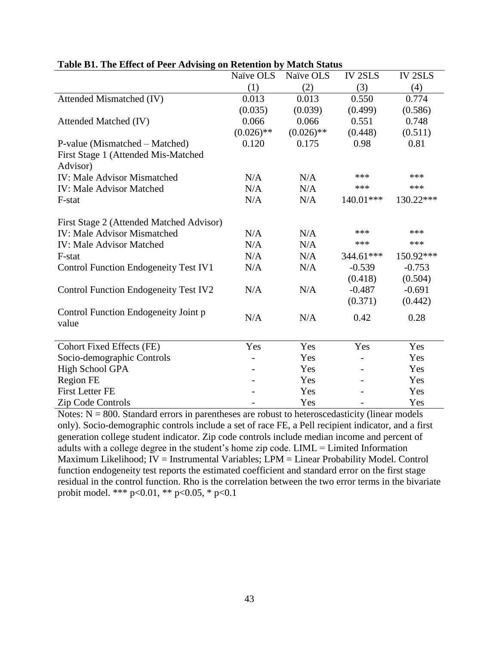|                                                 | Naïve OLS    | Naïve OLS    | <b>IV 2SLS</b> | <b>IV 2SLS</b> |
|-------------------------------------------------|--------------|--------------|----------------|----------------|
|                                                 | (1)          | (2)          | (3)            | (4)            |
| Attended Mismatched (IV)                        | 0.013        | 0.013        | 0.550          | 0.774          |
|                                                 | (0.035)      | (0.039)      | (0.499)        | (0.586)        |
| Attended Matched (IV)                           | 0.066        | 0.066        | 0.551          | 0.748          |
|                                                 | $(0.026)$ ** | $(0.026)$ ** | (0.448)        | (0.511)        |
| P-value (Mismatched – Matched)                  | 0.120        | 0.175        | 0.98           | 0.81           |
| First Stage 1 (Attended Mis-Matched<br>Advisor) |              |              |                |                |
| <b>IV: Male Advisor Mismatched</b>              | N/A          | N/A          | ***            | ***            |
| <b>IV: Male Advisor Matched</b>                 | N/A          | N/A          | ***            | ***            |
| F-stat                                          | N/A          | N/A          | 140.01***      | 130.22***      |
| First Stage 2 (Attended Matched Advisor)        |              |              |                |                |
| <b>IV: Male Advisor Mismatched</b>              | N/A          | N/A          | ***            | ***            |
| <b>IV: Male Advisor Matched</b>                 | N/A          | N/A          | ***            | ***            |
| F-stat                                          | N/A          | N/A          | 344.61***      | 150.92***      |
| <b>Control Function Endogeneity Test IV1</b>    | N/A          | N/A          | $-0.539$       | $-0.753$       |
|                                                 |              |              | (0.418)        | (0.504)        |
| <b>Control Function Endogeneity Test IV2</b>    | N/A          | N/A          | $-0.487$       | $-0.691$       |
|                                                 |              |              | (0.371)        | (0.442)        |
| Control Function Endogeneity Joint p<br>value   | N/A          | N/A          | 0.42           | 0.28           |
|                                                 |              |              |                |                |
| <b>Cohort Fixed Effects (FE)</b>                | Yes          | Yes          | Yes            | Yes            |
| Socio-demographic Controls                      |              | Yes          |                | Yes            |
| High School GPA                                 |              | Yes          |                | Yes            |
| <b>Region FE</b>                                |              | Yes          |                | Yes            |
| <b>First Letter FE</b>                          |              | Yes          |                | Yes            |
| Zip Code Controls                               |              | Yes          |                | Yes            |

### **Table B1. The Effect of Peer Advising on Retention by Match Status**

Notes:  $N = 800$ . Standard errors in parentheses are robust to heteroscedasticity (linear models only). Socio-demographic controls include a set of race FE, a Pell recipient indicator, and a first generation college student indicator. Zip code controls include median income and percent of adults with a college degree in the student's home zip code. LIML = Limited Information Maximum Likelihood; IV = Instrumental Variables; LPM = Linear Probability Model. Control function endogeneity test reports the estimated coefficient and standard error on the first stage residual in the control function. Rho is the correlation between the two error terms in the bivariate probit model. \*\*\* p<0.01, \*\* p<0.05, \* p<0.1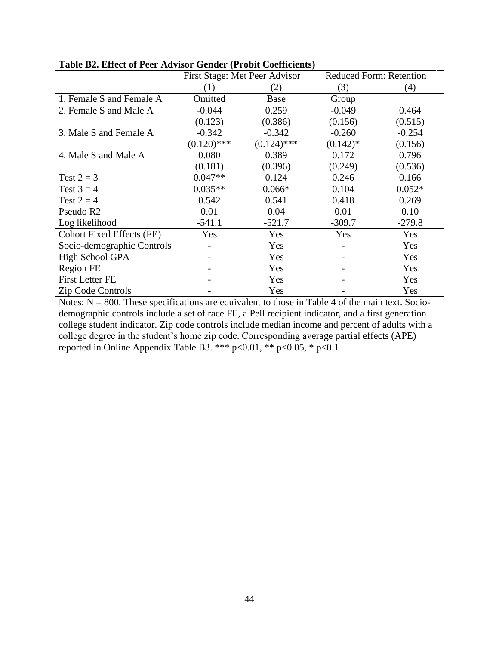|                                  | First Stage: Met Peer Advisor |               | Reduced Form: Retention |          |
|----------------------------------|-------------------------------|---------------|-------------------------|----------|
|                                  | (1)                           | (2)           | (3)                     | (4)      |
| 1. Female S and Female A         | Omitted                       | Base          | Group                   |          |
| 2. Female S and Male A           | $-0.044$                      | 0.259         | $-0.049$                | 0.464    |
|                                  | (0.123)                       | (0.386)       | (0.156)                 | (0.515)  |
| 3. Male S and Female A           | $-0.342$                      | $-0.342$      | $-0.260$                | $-0.254$ |
|                                  | $(0.120)$ ***                 | $(0.124)$ *** | $(0.142)$ *             | (0.156)  |
| 4. Male S and Male A             | 0.080                         | 0.389         | 0.172                   | 0.796    |
|                                  | (0.181)                       | (0.396)       | (0.249)                 | (0.536)  |
| Test $2 = 3$                     | $0.047**$                     | 0.124         | 0.246                   | 0.166    |
| Test $3 = 4$                     | $0.035**$                     | $0.066*$      | 0.104                   | $0.052*$ |
| Test $2 = 4$                     | 0.542                         | 0.541         | 0.418                   | 0.269    |
| Pseudo R <sub>2</sub>            | 0.01                          | 0.04          | 0.01                    | 0.10     |
| Log likelihood                   | $-541.1$                      | $-521.7$      | $-309.7$                | $-279.8$ |
| <b>Cohort Fixed Effects (FE)</b> | Yes                           | Yes           | Yes                     | Yes      |
| Socio-demographic Controls       |                               | Yes           |                         | Yes      |
| High School GPA                  |                               | Yes           |                         | Yes      |
| <b>Region FE</b>                 |                               | Yes           |                         | Yes      |
| <b>First Letter FE</b>           |                               | Yes           |                         | Yes      |
| <b>Zip Code Controls</b>         |                               | Yes           |                         | Yes      |

**Table B2. Effect of Peer Advisor Gender (Probit Coefficients)**

Notes:  $N = 800$ . These specifications are equivalent to those in Table 4 of the main text. Sociodemographic controls include a set of race FE, a Pell recipient indicator, and a first generation college student indicator. Zip code controls include median income and percent of adults with a college degree in the student's home zip code. Corresponding average partial effects (APE) reported in Online Appendix Table B3. \*\*\* p<0.01, \*\* p<0.05, \* p<0.1